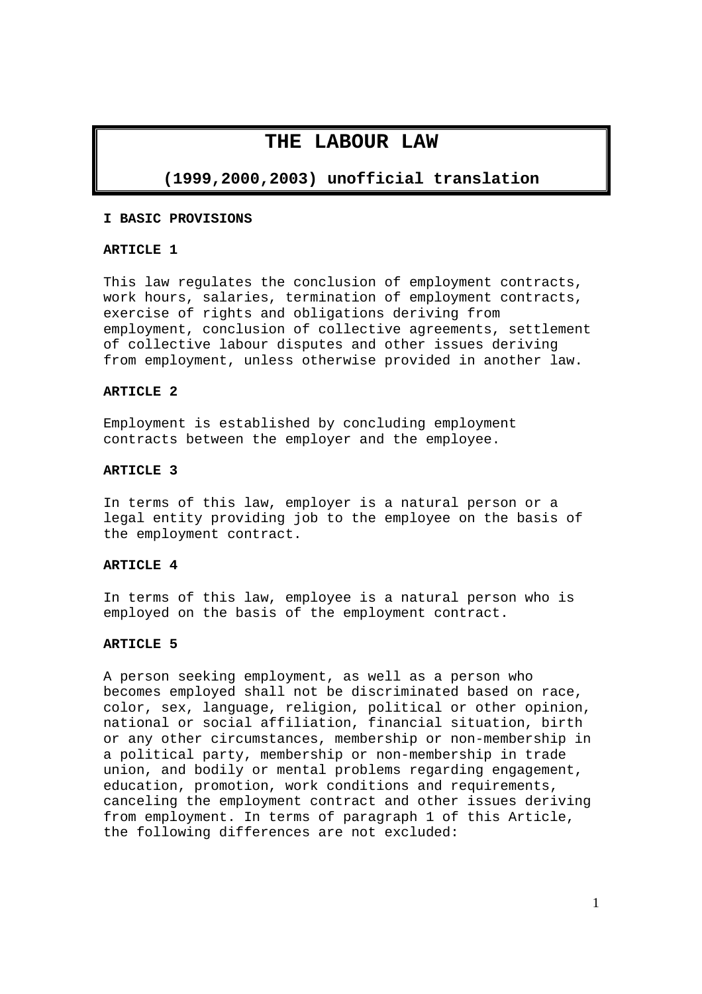# **THE LABOUR LAW**

# **(1999,2000,2003) unofficial translation**

### **I BASIC PROVISIONS**

### **ARTICLE 1**

This law regulates the conclusion of employment contracts, work hours, salaries, termination of employment contracts, exercise of rights and obligations deriving from employment, conclusion of collective agreements, settlement of collective labour disputes and other issues deriving from employment, unless otherwise provided in another law.

### **ARTICLE 2**

Employment is established by concluding employment contracts between the employer and the employee.

### **ARTICLE 3**

In terms of this law, employer is a natural person or a legal entity providing job to the employee on the basis of the employment contract.

#### **ARTICLE 4**

In terms of this law, employee is a natural person who is employed on the basis of the employment contract.

### **ARTICLE 5**

A person seeking employment, as well as a person who becomes employed shall not be discriminated based on race, color, sex, language, religion, political or other opinion, national or social affiliation, financial situation, birth or any other circumstances, membership or non-membership in a political party, membership or non-membership in trade union, and bodily or mental problems regarding engagement, education, promotion, work conditions and requirements, canceling the employment contract and other issues deriving from employment. In terms of paragraph 1 of this Article, the following differences are not excluded: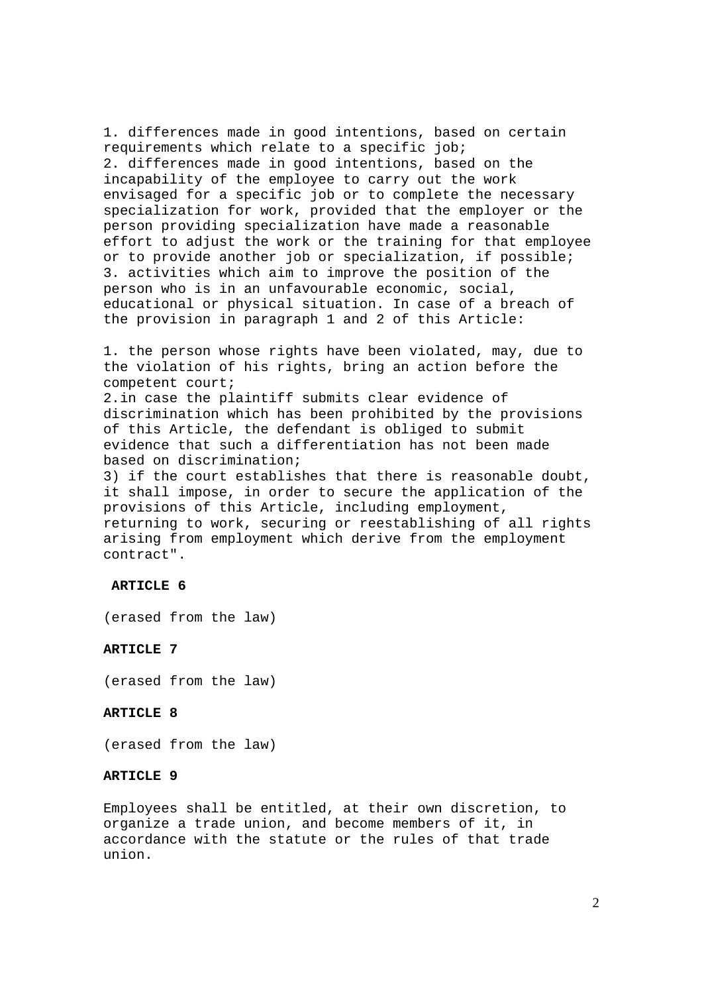1. differences made in good intentions, based on certain requirements which relate to a specific job; 2. differences made in good intentions, based on the incapability of the employee to carry out the work envisaged for a specific job or to complete the necessary specialization for work, provided that the employer or the person providing specialization have made a reasonable effort to adjust the work or the training for that employee or to provide another job or specialization, if possible; 3. activities which aim to improve the position of the person who is in an unfavourable economic, social, educational or physical situation. In case of a breach of the provision in paragraph 1 and 2 of this Article:

1. the person whose rights have been violated, may, due to the violation of his rights, bring an action before the competent court;

2.in case the plaintiff submits clear evidence of discrimination which has been prohibited by the provisions of this Article, the defendant is obliged to submit evidence that such a differentiation has not been made based on discrimination;

3) if the court establishes that there is reasonable doubt, it shall impose, in order to secure the application of the provisions of this Article, including employment, returning to work, securing or reestablishing of all rights arising from employment which derive from the employment contract".

#### **ARTICLE 6**

(erased from the law)

### **ARTICLE 7**

(erased from the law)

## **ARTICLE 8**

(erased from the law)

#### **ARTICLE 9**

Employees shall be entitled, at their own discretion, to organize a trade union, and become members of it, in accordance with the statute or the rules of that trade union.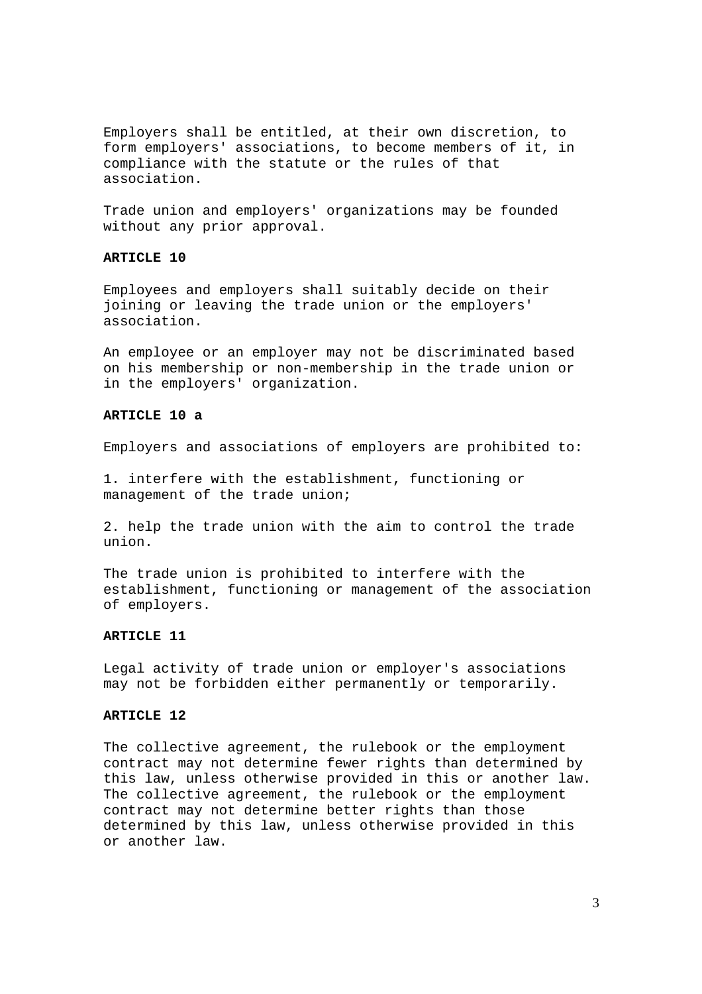Employers shall be entitled, at their own discretion, to form employers' associations, to become members of it, in compliance with the statute or the rules of that association.

Trade union and employers' organizations may be founded without any prior approval.

## **ARTICLE 10**

Employees and employers shall suitably decide on their joining or leaving the trade union or the employers' association.

An employee or an employer may not be discriminated based on his membership or non-membership in the trade union or in the employers' organization.

#### **ARTICLE 10 a**

Employers and associations of employers are prohibited to:

1. interfere with the establishment, functioning or management of the trade union;

2. help the trade union with the aim to control the trade union.

The trade union is prohibited to interfere with the establishment, functioning or management of the association of employers.

## **ARTICLE 11**

Legal activity of trade union or employer's associations may not be forbidden either permanently or temporarily.

#### **ARTICLE 12**

The collective agreement, the rulebook or the employment contract may not determine fewer rights than determined by this law, unless otherwise provided in this or another law. The collective agreement, the rulebook or the employment contract may not determine better rights than those determined by this law, unless otherwise provided in this or another law.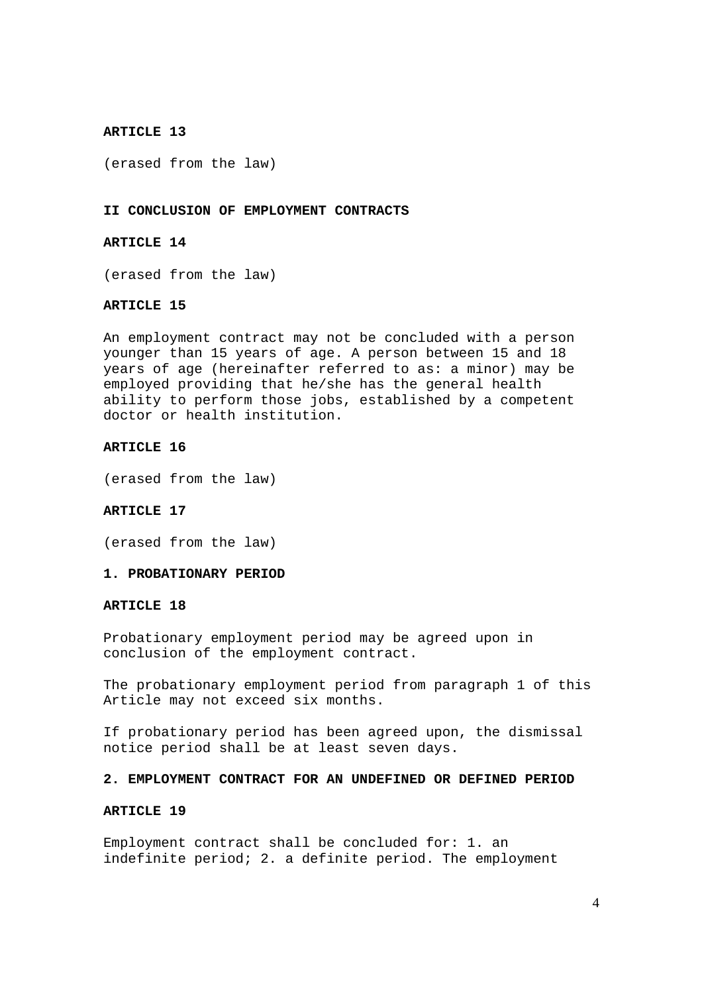(erased from the law)

#### **II CONCLUSION OF EMPLOYMENT CONTRACTS**

## **ARTICLE 14**

(erased from the law)

## **ARTICLE 15**

An employment contract may not be concluded with a person younger than 15 years of age. A person between 15 and 18 years of age (hereinafter referred to as: a minor) may be employed providing that he/she has the general health ability to perform those jobs, established by a competent doctor or health institution.

#### **ARTICLE 16**

(erased from the law)

### **ARTICLE 17**

(erased from the law)

## **1. PROBATIONARY PERIOD**

#### **ARTICLE 18**

Probationary employment period may be agreed upon in conclusion of the employment contract.

The probationary employment period from paragraph 1 of this Article may not exceed six months.

If probationary period has been agreed upon, the dismissal notice period shall be at least seven days.

#### **2. EMPLOYMENT CONTRACT FOR AN UNDEFINED OR DEFINED PERIOD**

### **ARTICLE 19**

Employment contract shall be concluded for: 1. an indefinite period; 2. a definite period. The employment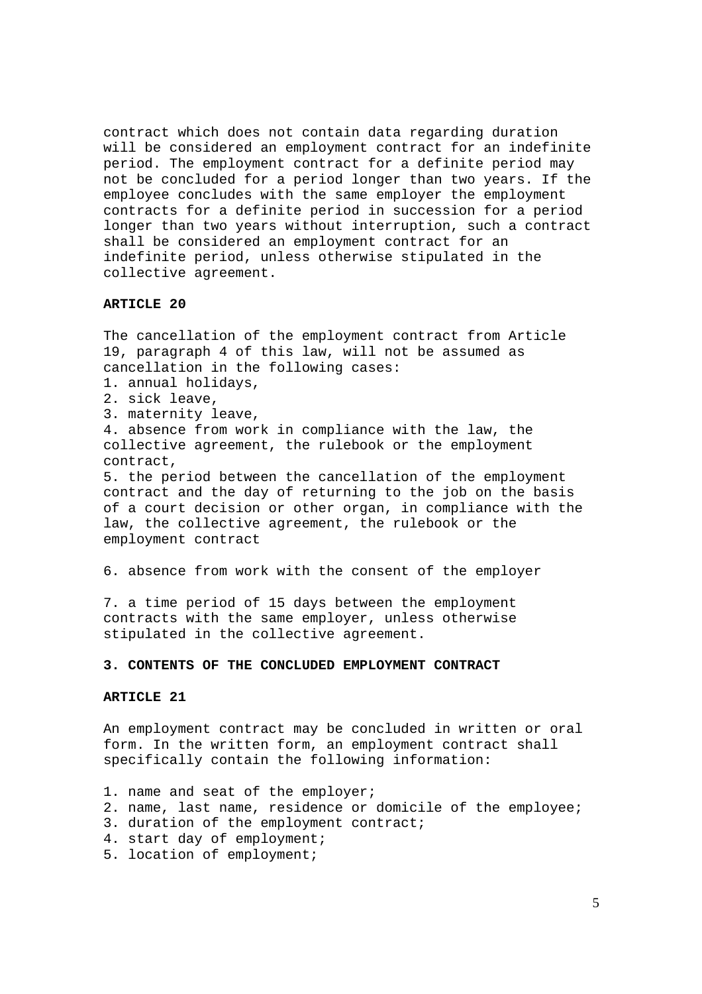contract which does not contain data regarding duration will be considered an employment contract for an indefinite period. The employment contract for a definite period may not be concluded for a period longer than two years. If the employee concludes with the same employer the employment contracts for a definite period in succession for a period longer than two years without interruption, such a contract shall be considered an employment contract for an indefinite period, unless otherwise stipulated in the collective agreement.

### **ARTICLE 20**

The cancellation of the employment contract from Article 19, paragraph 4 of this law, will not be assumed as cancellation in the following cases:

- 1. annual holidays,
- 2. sick leave,
- 3. maternity leave,

4. absence from work in compliance with the law, the collective agreement, the rulebook or the employment contract,

5. the period between the cancellation of the employment contract and the day of returning to the job on the basis of a court decision or other organ, in compliance with the law, the collective agreement, the rulebook or the employment contract

6. absence from work with the consent of the employer

7. a time period of 15 days between the employment contracts with the same employer, unless otherwise stipulated in the collective agreement.

### **3. CONTENTS OF THE CONCLUDED EMPLOYMENT CONTRACT**

#### **ARTICLE 21**

An employment contract may be concluded in written or oral form. In the written form, an employment contract shall specifically contain the following information:

- 1. name and seat of the employer;
- 2. name, last name, residence or domicile of the employee;
- 3. duration of the employment contract;
- 4. start day of employment;
- 5. location of employment;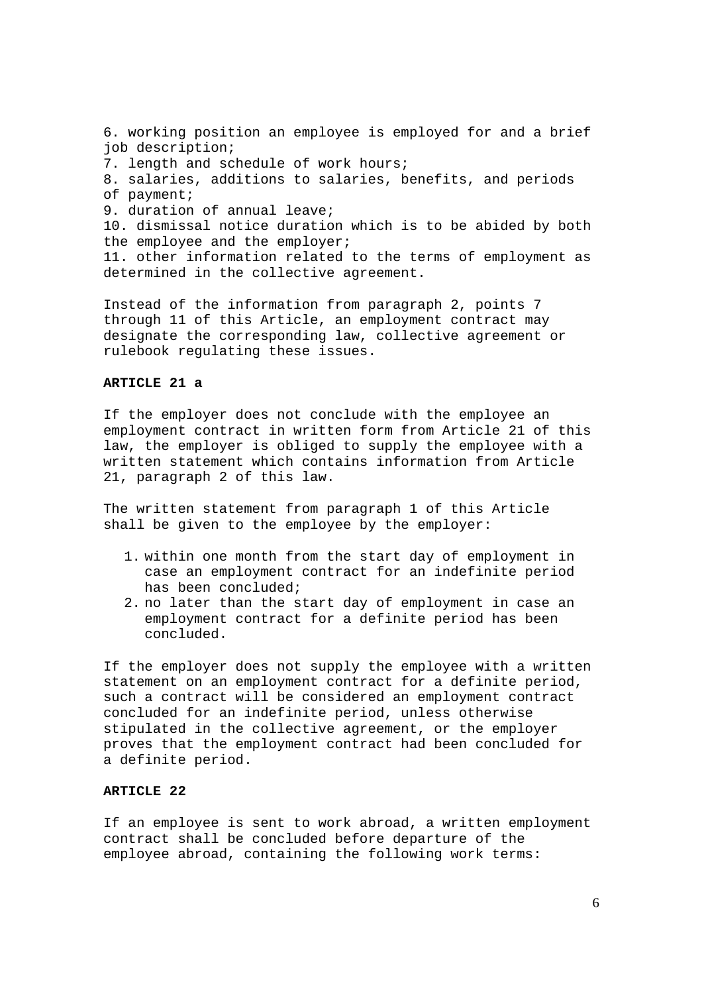6. working position an employee is employed for and a brief job description; 7. length and schedule of work hours; 8. salaries, additions to salaries, benefits, and periods of payment; 9. duration of annual leave; 10. dismissal notice duration which is to be abided by both the employee and the employer; 11. other information related to the terms of employment as determined in the collective agreement.

Instead of the information from paragraph 2, points 7 through 11 of this Article, an employment contract may designate the corresponding law, collective agreement or rulebook regulating these issues.

## **ARTICLE 21 a**

If the employer does not conclude with the employee an employment contract in written form from Article 21 of this law, the employer is obliged to supply the employee with a written statement which contains information from Article 21, paragraph 2 of this law.

The written statement from paragraph 1 of this Article shall be given to the employee by the employer:

- 1. within one month from the start day of employment in case an employment contract for an indefinite period has been concluded;
- 2. no later than the start day of employment in case an employment contract for a definite period has been concluded.

If the employer does not supply the employee with a written statement on an employment contract for a definite period, such a contract will be considered an employment contract concluded for an indefinite period, unless otherwise stipulated in the collective agreement, or the employer proves that the employment contract had been concluded for a definite period.

#### **ARTICLE 22**

If an employee is sent to work abroad, a written employment contract shall be concluded before departure of the employee abroad, containing the following work terms: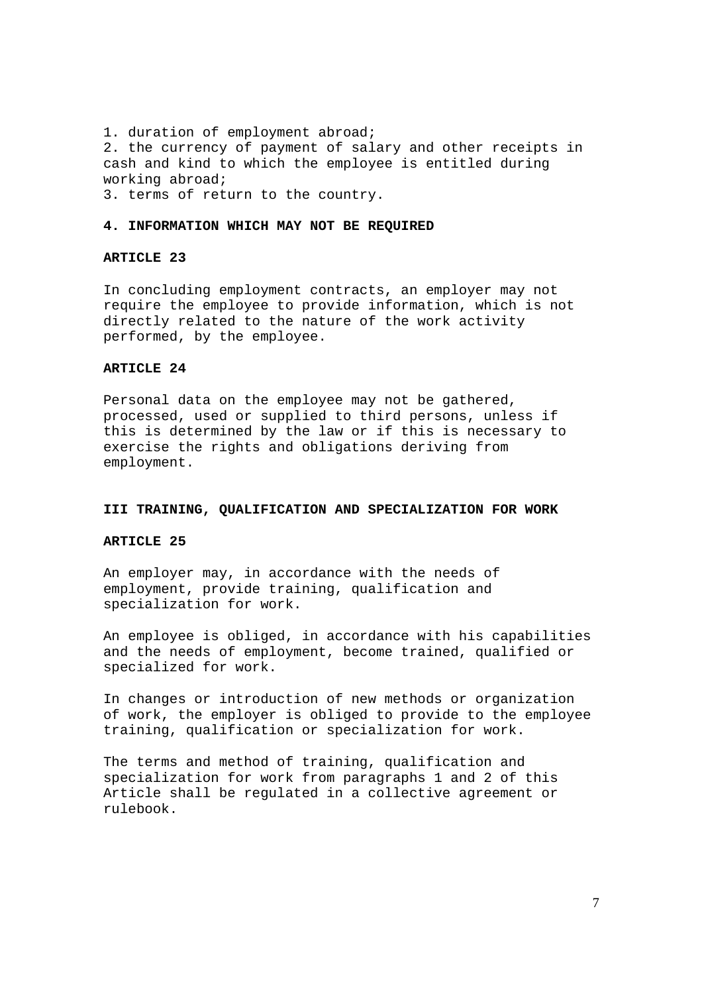1. duration of employment abroad; 2. the currency of payment of salary and other receipts in cash and kind to which the employee is entitled during working abroad;

3. terms of return to the country.

## **4. INFORMATION WHICH MAY NOT BE REQUIRED**

### **ARTICLE 23**

In concluding employment contracts, an employer may not require the employee to provide information, which is not directly related to the nature of the work activity performed, by the employee.

## **ARTICLE 24**

Personal data on the employee may not be gathered, processed, used or supplied to third persons, unless if this is determined by the law or if this is necessary to exercise the rights and obligations deriving from employment.

#### **III TRAINING, QUALIFICATION AND SPECIALIZATION FOR WORK**

## **ARTICLE 25**

An employer may, in accordance with the needs of employment, provide training, qualification and specialization for work.

An employee is obliged, in accordance with his capabilities and the needs of employment, become trained, qualified or specialized for work.

In changes or introduction of new methods or organization of work, the employer is obliged to provide to the employee training, qualification or specialization for work.

The terms and method of training, qualification and specialization for work from paragraphs 1 and 2 of this Article shall be regulated in a collective agreement or rulebook.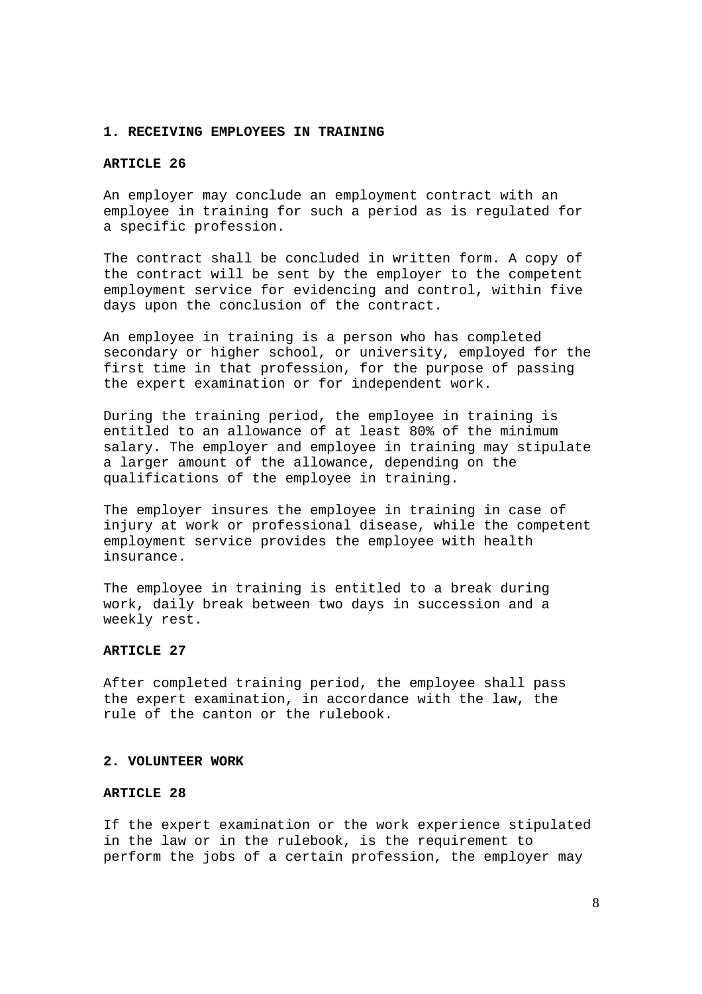#### **1. RECEIVING EMPLOYEES IN TRAINING**

## **ARTICLE 26**

An employer may conclude an employment contract with an employee in training for such a period as is regulated for a specific profession.

The contract shall be concluded in written form. A copy of the contract will be sent by the employer to the competent employment service for evidencing and control, within five days upon the conclusion of the contract.

An employee in training is a person who has completed secondary or higher school, or university, employed for the first time in that profession, for the purpose of passing the expert examination or for independent work.

During the training period, the employee in training is entitled to an allowance of at least 80% of the minimum salary. The employer and employee in training may stipulate a larger amount of the allowance, depending on the qualifications of the employee in training.

The employer insures the employee in training in case of injury at work or professional disease, while the competent employment service provides the employee with health insurance.

The employee in training is entitled to a break during work, daily break between two days in succession and a weekly rest.

### **ARTICLE 27**

After completed training period, the employee shall pass the expert examination, in accordance with the law, the rule of the canton or the rulebook.

#### **2. VOLUNTEER WORK**

## **ARTICLE 28**

If the expert examination or the work experience stipulated in the law or in the rulebook, is the requirement to perform the jobs of a certain profession, the employer may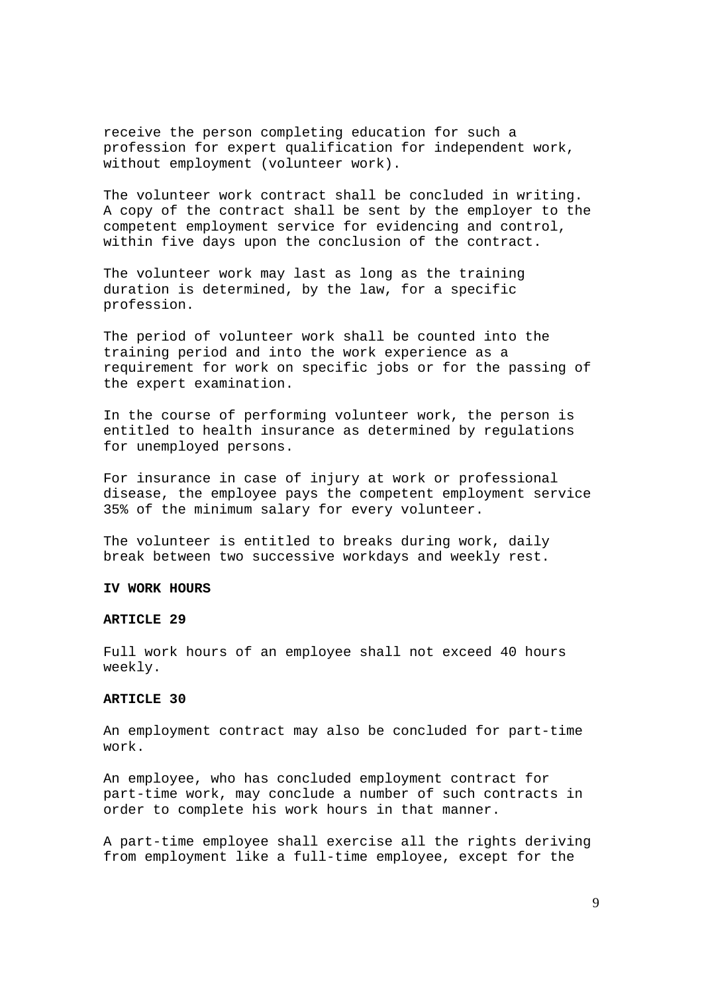receive the person completing education for such a profession for expert qualification for independent work, without employment (volunteer work).

The volunteer work contract shall be concluded in writing. A copy of the contract shall be sent by the employer to the competent employment service for evidencing and control, within five days upon the conclusion of the contract.

The volunteer work may last as long as the training duration is determined, by the law, for a specific profession.

The period of volunteer work shall be counted into the training period and into the work experience as a requirement for work on specific jobs or for the passing of the expert examination.

In the course of performing volunteer work, the person is entitled to health insurance as determined by regulations for unemployed persons.

For insurance in case of injury at work or professional disease, the employee pays the competent employment service 35% of the minimum salary for every volunteer.

The volunteer is entitled to breaks during work, daily break between two successive workdays and weekly rest.

## **IV WORK HOURS**

#### **ARTICLE 29**

Full work hours of an employee shall not exceed 40 hours weekly.

#### **ARTICLE 30**

An employment contract may also be concluded for part-time work.

An employee, who has concluded employment contract for part-time work, may conclude a number of such contracts in order to complete his work hours in that manner.

A part-time employee shall exercise all the rights deriving from employment like a full-time employee, except for the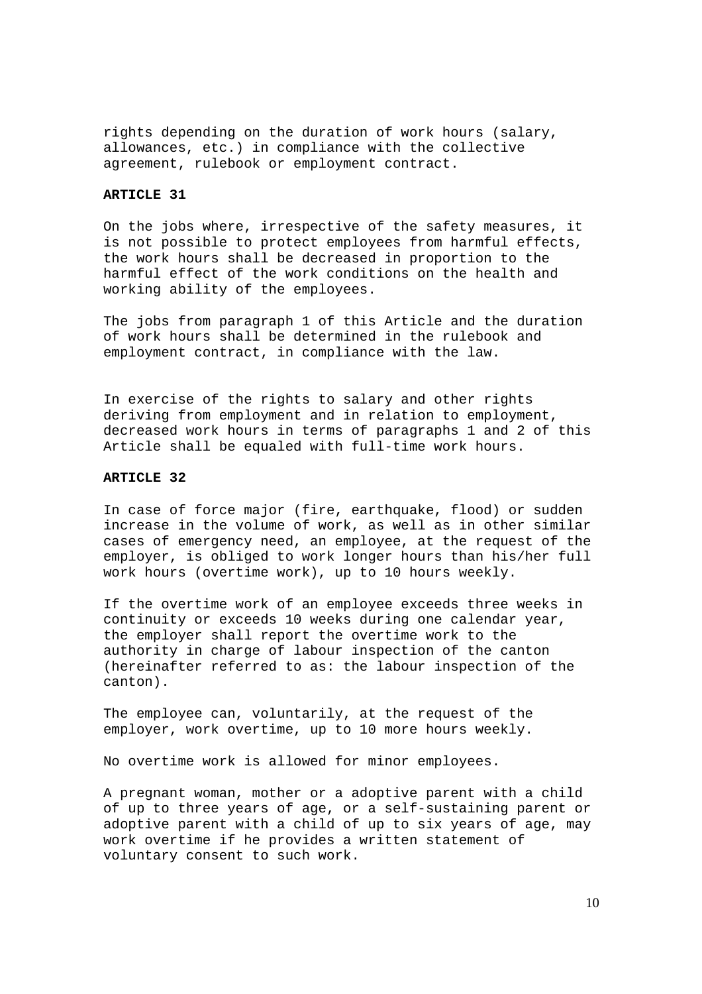rights depending on the duration of work hours (salary, allowances, etc.) in compliance with the collective agreement, rulebook or employment contract.

#### **ARTICLE 31**

On the jobs where, irrespective of the safety measures, it is not possible to protect employees from harmful effects, the work hours shall be decreased in proportion to the harmful effect of the work conditions on the health and working ability of the employees.

The jobs from paragraph 1 of this Article and the duration of work hours shall be determined in the rulebook and employment contract, in compliance with the law.

In exercise of the rights to salary and other rights deriving from employment and in relation to employment, decreased work hours in terms of paragraphs 1 and 2 of this Article shall be equaled with full-time work hours.

### **ARTICLE 32**

In case of force major (fire, earthquake, flood) or sudden increase in the volume of work, as well as in other similar cases of emergency need, an employee, at the request of the employer, is obliged to work longer hours than his/her full work hours (overtime work), up to 10 hours weekly.

If the overtime work of an employee exceeds three weeks in continuity or exceeds 10 weeks during one calendar year, the employer shall report the overtime work to the authority in charge of labour inspection of the canton (hereinafter referred to as: the labour inspection of the canton).

The employee can, voluntarily, at the request of the employer, work overtime, up to 10 more hours weekly.

No overtime work is allowed for minor employees.

A pregnant woman, mother or a adoptive parent with a child of up to three years of age, or a self-sustaining parent or adoptive parent with a child of up to six years of age, may work overtime if he provides a written statement of voluntary consent to such work.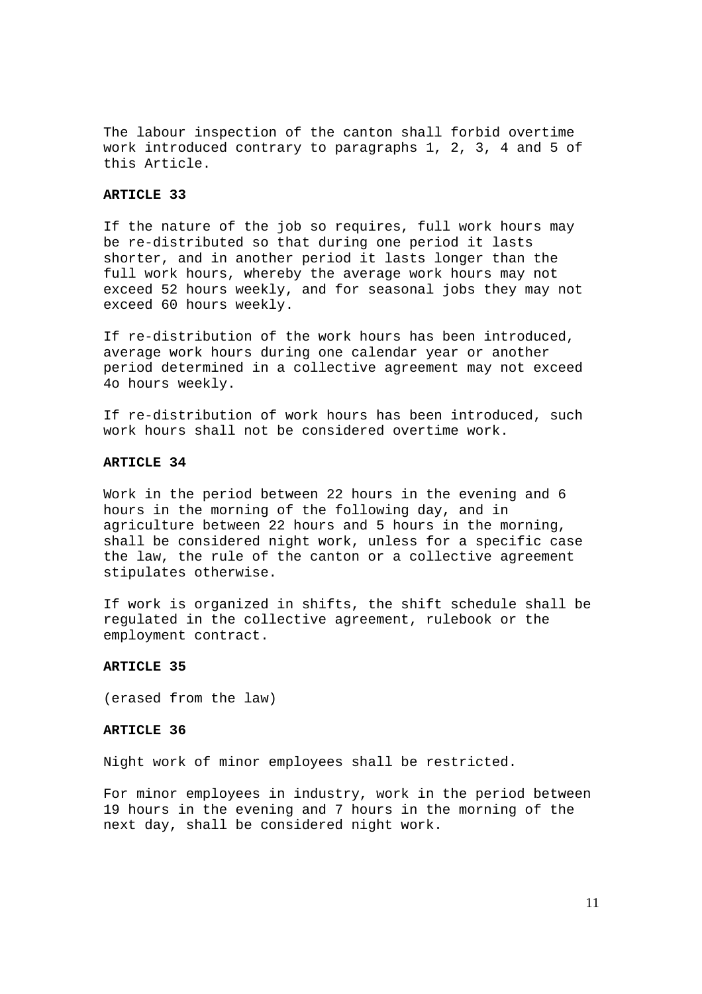The labour inspection of the canton shall forbid overtime work introduced contrary to paragraphs 1, 2, 3, 4 and 5 of this Article.

### **ARTICLE 33**

If the nature of the job so requires, full work hours may be re-distributed so that during one period it lasts shorter, and in another period it lasts longer than the full work hours, whereby the average work hours may not exceed 52 hours weekly, and for seasonal jobs they may not exceed 60 hours weekly.

If re-distribution of the work hours has been introduced, average work hours during one calendar year or another period determined in a collective agreement may not exceed 4o hours weekly.

If re-distribution of work hours has been introduced, such work hours shall not be considered overtime work.

## **ARTICLE 34**

Work in the period between 22 hours in the evening and 6 hours in the morning of the following day, and in agriculture between 22 hours and 5 hours in the morning, shall be considered night work, unless for a specific case the law, the rule of the canton or a collective agreement stipulates otherwise.

If work is organized in shifts, the shift schedule shall be regulated in the collective agreement, rulebook or the employment contract.

### **ARTICLE 35**

(erased from the law)

### **ARTICLE 36**

Night work of minor employees shall be restricted.

For minor employees in industry, work in the period between 19 hours in the evening and 7 hours in the morning of the next day, shall be considered night work.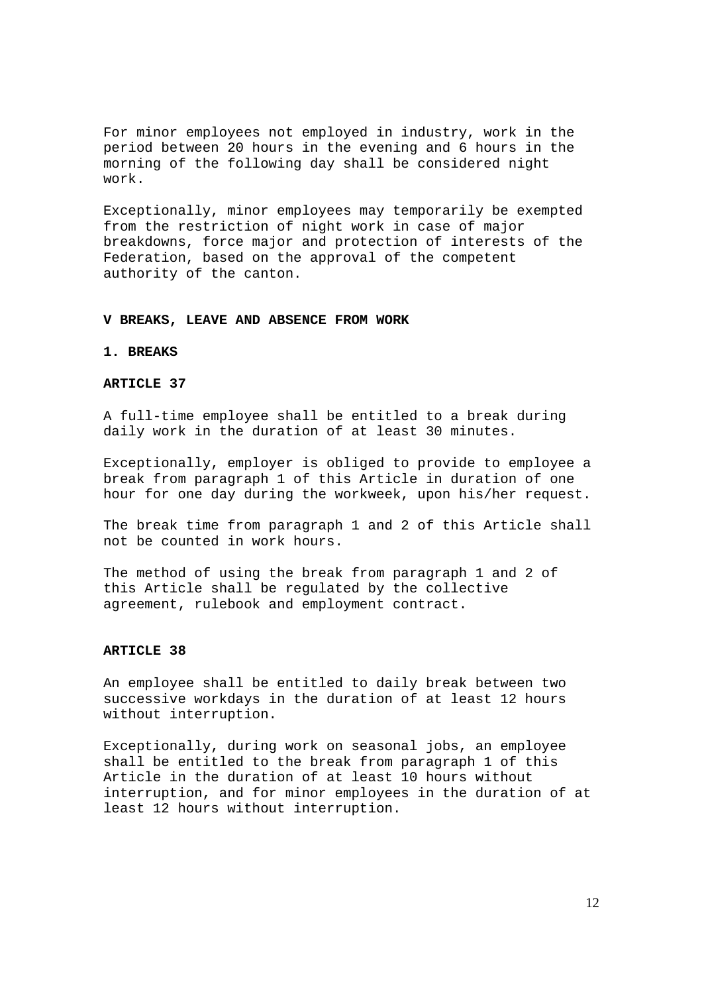For minor employees not employed in industry, work in the period between 20 hours in the evening and 6 hours in the morning of the following day shall be considered night work.

Exceptionally, minor employees may temporarily be exempted from the restriction of night work in case of major breakdowns, force major and protection of interests of the Federation, based on the approval of the competent authority of the canton.

### **V BREAKS, LEAVE AND ABSENCE FROM WORK**

### **1. BREAKS**

### **ARTICLE 37**

A full-time employee shall be entitled to a break during daily work in the duration of at least 30 minutes.

Exceptionally, employer is obliged to provide to employee a break from paragraph 1 of this Article in duration of one hour for one day during the workweek, upon his/her request.

The break time from paragraph 1 and 2 of this Article shall not be counted in work hours.

The method of using the break from paragraph 1 and 2 of this Article shall be regulated by the collective agreement, rulebook and employment contract.

### **ARTICLE 38**

An employee shall be entitled to daily break between two successive workdays in the duration of at least 12 hours without interruption.

Exceptionally, during work on seasonal jobs, an employee shall be entitled to the break from paragraph 1 of this Article in the duration of at least 10 hours without interruption, and for minor employees in the duration of at least 12 hours without interruption.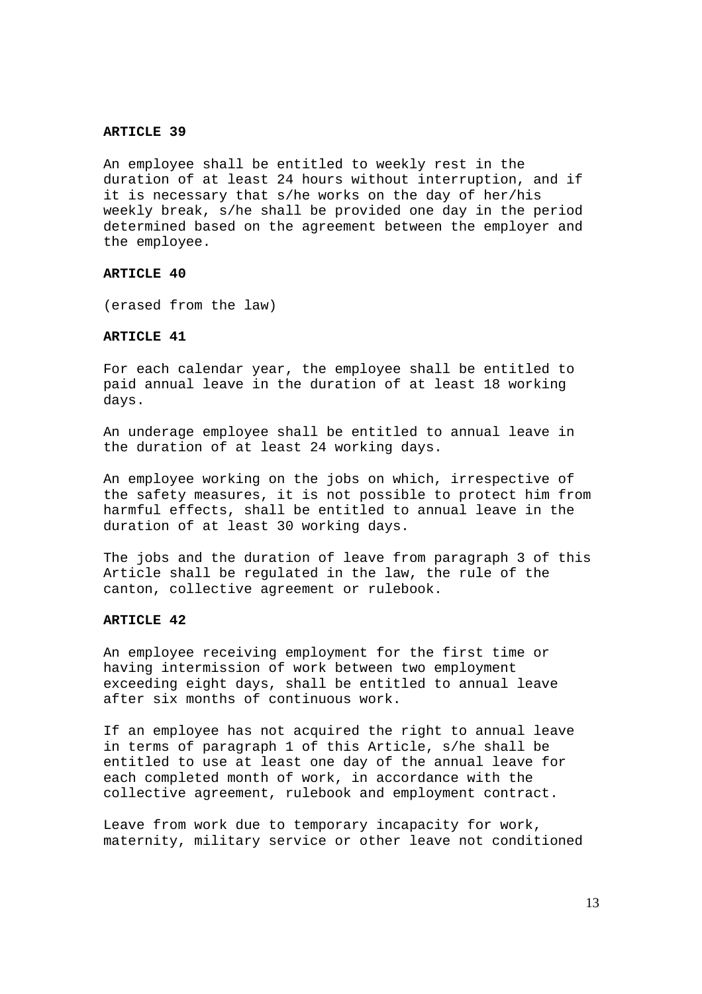An employee shall be entitled to weekly rest in the duration of at least 24 hours without interruption, and if it is necessary that s/he works on the day of her/his weekly break, s/he shall be provided one day in the period determined based on the agreement between the employer and the employee.

#### **ARTICLE 40**

(erased from the law)

### **ARTICLE 41**

For each calendar year, the employee shall be entitled to paid annual leave in the duration of at least 18 working days.

An underage employee shall be entitled to annual leave in the duration of at least 24 working days.

An employee working on the jobs on which, irrespective of the safety measures, it is not possible to protect him from harmful effects, shall be entitled to annual leave in the duration of at least 30 working days.

The jobs and the duration of leave from paragraph 3 of this Article shall be regulated in the law, the rule of the canton, collective agreement or rulebook.

## **ARTICLE 42**

An employee receiving employment for the first time or having intermission of work between two employment exceeding eight days, shall be entitled to annual leave after six months of continuous work.

If an employee has not acquired the right to annual leave in terms of paragraph 1 of this Article, s/he shall be entitled to use at least one day of the annual leave for each completed month of work, in accordance with the collective agreement, rulebook and employment contract.

Leave from work due to temporary incapacity for work, maternity, military service or other leave not conditioned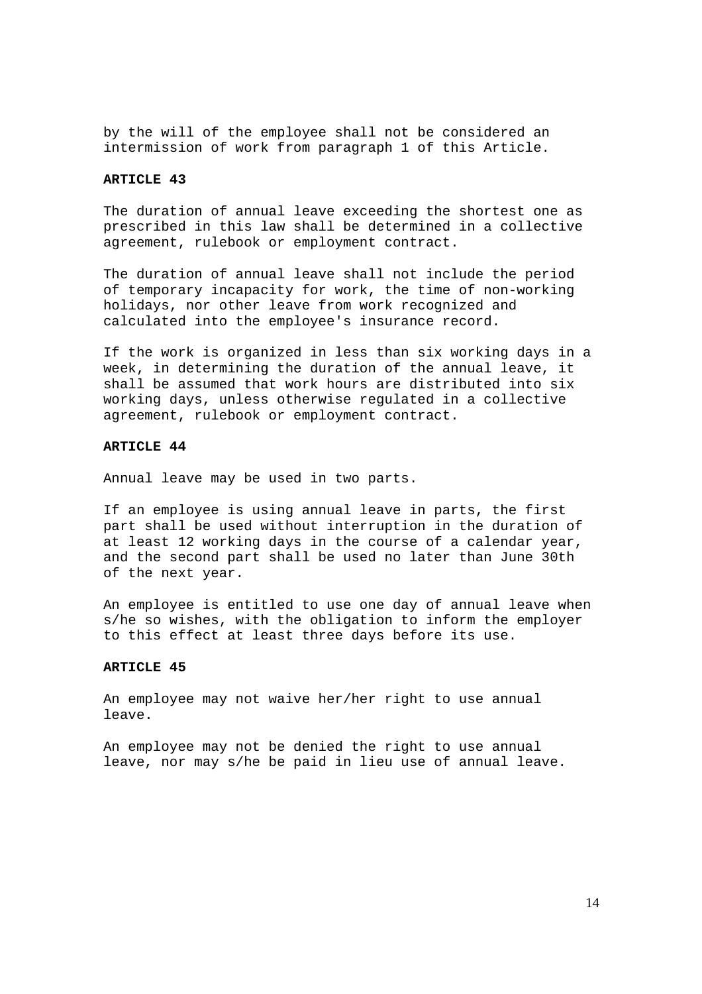by the will of the employee shall not be considered an intermission of work from paragraph 1 of this Article.

### **ARTICLE 43**

The duration of annual leave exceeding the shortest one as prescribed in this law shall be determined in a collective agreement, rulebook or employment contract.

The duration of annual leave shall not include the period of temporary incapacity for work, the time of non-working holidays, nor other leave from work recognized and calculated into the employee's insurance record.

If the work is organized in less than six working days in a week, in determining the duration of the annual leave, it shall be assumed that work hours are distributed into six working days, unless otherwise regulated in a collective agreement, rulebook or employment contract.

#### **ARTICLE 44**

Annual leave may be used in two parts.

If an employee is using annual leave in parts, the first part shall be used without interruption in the duration of at least 12 working days in the course of a calendar year, and the second part shall be used no later than June 30th of the next year.

An employee is entitled to use one day of annual leave when s/he so wishes, with the obligation to inform the employer to this effect at least three days before its use.

## **ARTICLE 45**

An employee may not waive her/her right to use annual leave.

An employee may not be denied the right to use annual leave, nor may s/he be paid in lieu use of annual leave.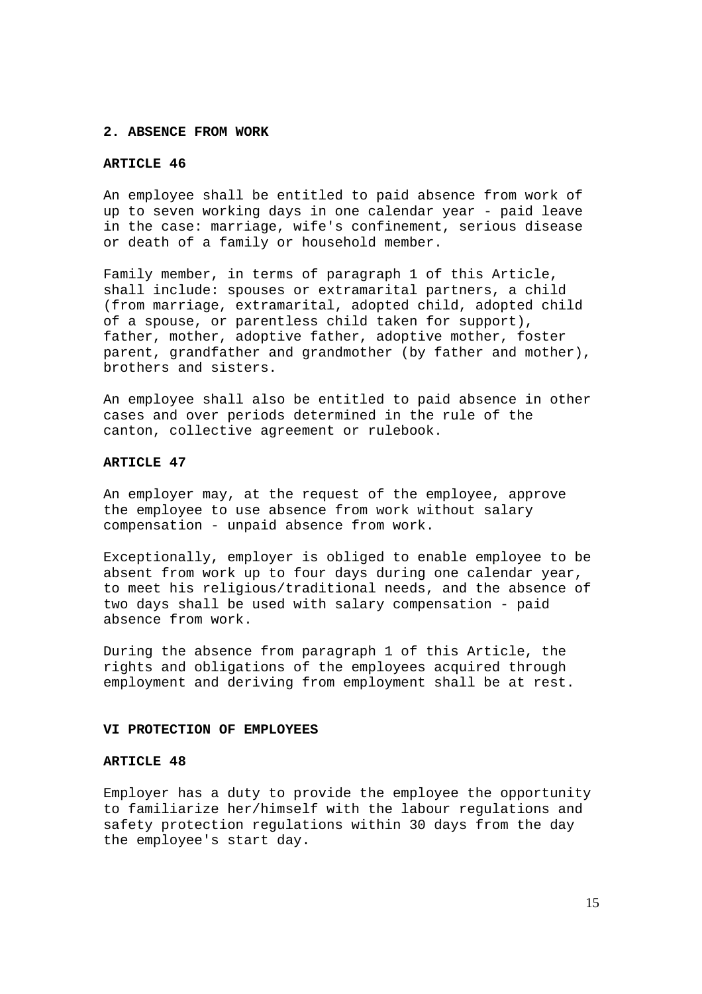#### **2. ABSENCE FROM WORK**

## **ARTICLE 46**

An employee shall be entitled to paid absence from work of up to seven working days in one calendar year - paid leave in the case: marriage, wife's confinement, serious disease or death of a family or household member.

Family member, in terms of paragraph 1 of this Article, shall include: spouses or extramarital partners, a child (from marriage, extramarital, adopted child, adopted child of a spouse, or parentless child taken for support), father, mother, adoptive father, adoptive mother, foster parent, grandfather and grandmother (by father and mother), brothers and sisters.

An employee shall also be entitled to paid absence in other cases and over periods determined in the rule of the canton, collective agreement or rulebook.

## **ARTICLE 47**

An employer may, at the request of the employee, approve the employee to use absence from work without salary compensation - unpaid absence from work.

Exceptionally, employer is obliged to enable employee to be absent from work up to four days during one calendar year, to meet his religious/traditional needs, and the absence of two days shall be used with salary compensation - paid absence from work.

During the absence from paragraph 1 of this Article, the rights and obligations of the employees acquired through employment and deriving from employment shall be at rest.

### **VI PROTECTION OF EMPLOYEES**

#### **ARTICLE 48**

Employer has a duty to provide the employee the opportunity to familiarize her/himself with the labour regulations and safety protection regulations within 30 days from the day the employee's start day.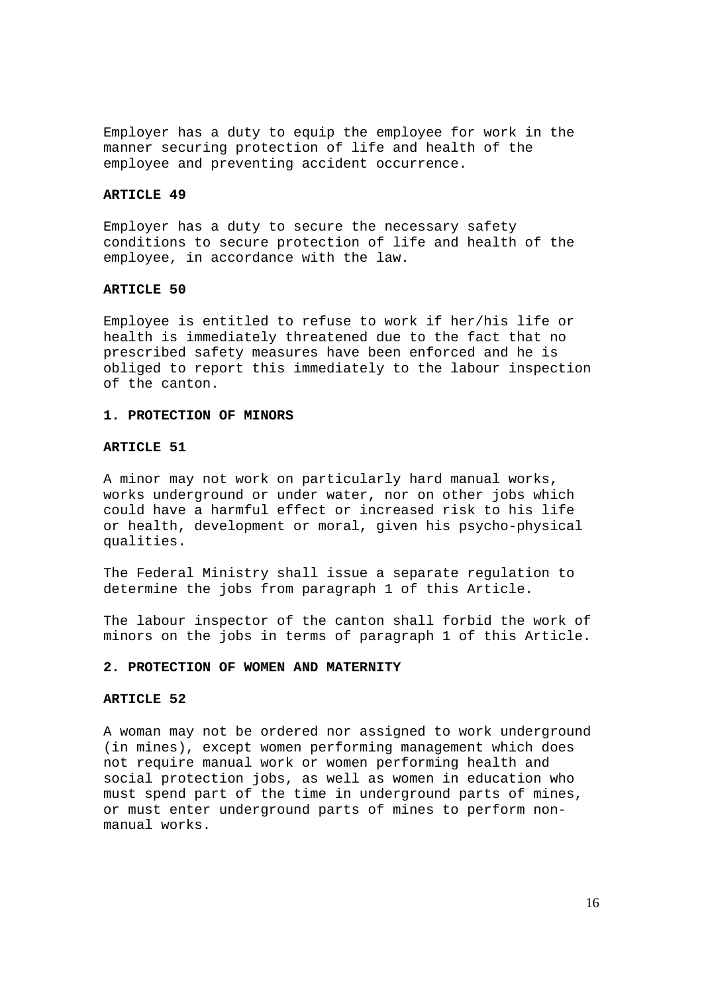Employer has a duty to equip the employee for work in the manner securing protection of life and health of the employee and preventing accident occurrence.

#### **ARTICLE 49**

Employer has a duty to secure the necessary safety conditions to secure protection of life and health of the employee, in accordance with the law.

## **ARTICLE 50**

Employee is entitled to refuse to work if her/his life or health is immediately threatened due to the fact that no prescribed safety measures have been enforced and he is obliged to report this immediately to the labour inspection of the canton.

### **1. PROTECTION OF MINORS**

#### **ARTICLE 51**

A minor may not work on particularly hard manual works, works underground or under water, nor on other jobs which could have a harmful effect or increased risk to his life or health, development or moral, given his psycho-physical qualities.

The Federal Ministry shall issue a separate regulation to determine the jobs from paragraph 1 of this Article.

The labour inspector of the canton shall forbid the work of minors on the jobs in terms of paragraph 1 of this Article.

### **2. PROTECTION OF WOMEN AND MATERNITY**

#### **ARTICLE 52**

A woman may not be ordered nor assigned to work underground (in mines), except women performing management which does not require manual work or women performing health and social protection jobs, as well as women in education who must spend part of the time in underground parts of mines, or must enter underground parts of mines to perform nonmanual works.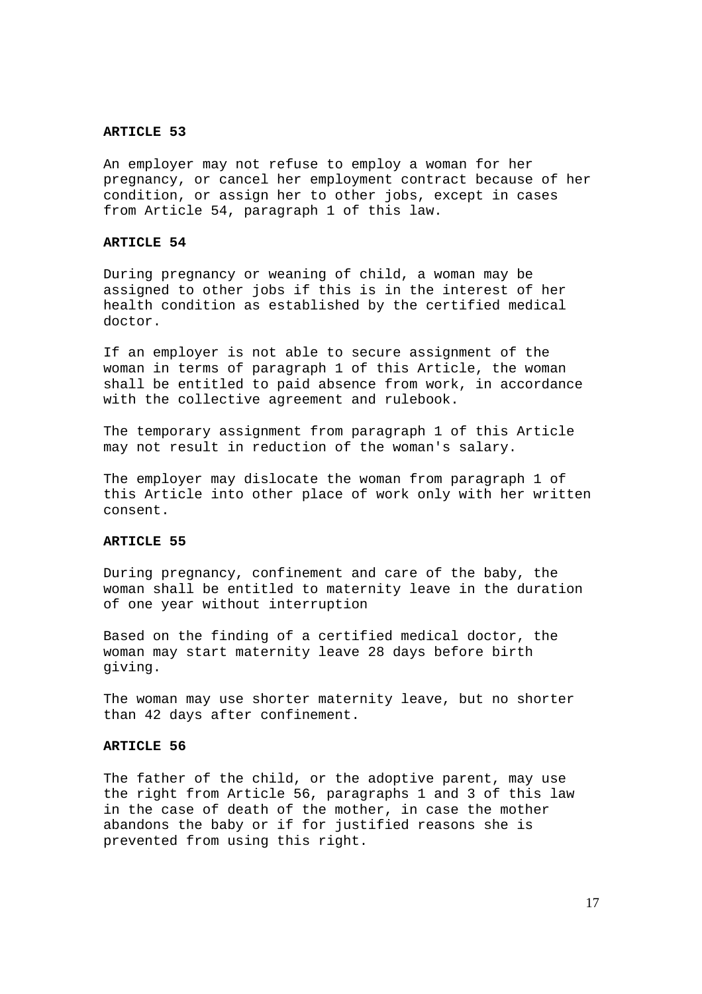An employer may not refuse to employ a woman for her pregnancy, or cancel her employment contract because of her condition, or assign her to other jobs, except in cases from Article 54, paragraph 1 of this law.

### **ARTICLE 54**

During pregnancy or weaning of child, a woman may be assigned to other jobs if this is in the interest of her health condition as established by the certified medical doctor.

If an employer is not able to secure assignment of the woman in terms of paragraph 1 of this Article, the woman shall be entitled to paid absence from work, in accordance with the collective agreement and rulebook.

The temporary assignment from paragraph 1 of this Article may not result in reduction of the woman's salary.

The employer may dislocate the woman from paragraph 1 of this Article into other place of work only with her written consent.

## **ARTICLE 55**

During pregnancy, confinement and care of the baby, the woman shall be entitled to maternity leave in the duration of one year without interruption

Based on the finding of a certified medical doctor, the woman may start maternity leave 28 days before birth giving.

The woman may use shorter maternity leave, but no shorter than 42 days after confinement.

## **ARTICLE 56**

The father of the child, or the adoptive parent, may use the right from Article 56, paragraphs 1 and 3 of this law in the case of death of the mother, in case the mother abandons the baby or if for justified reasons she is prevented from using this right.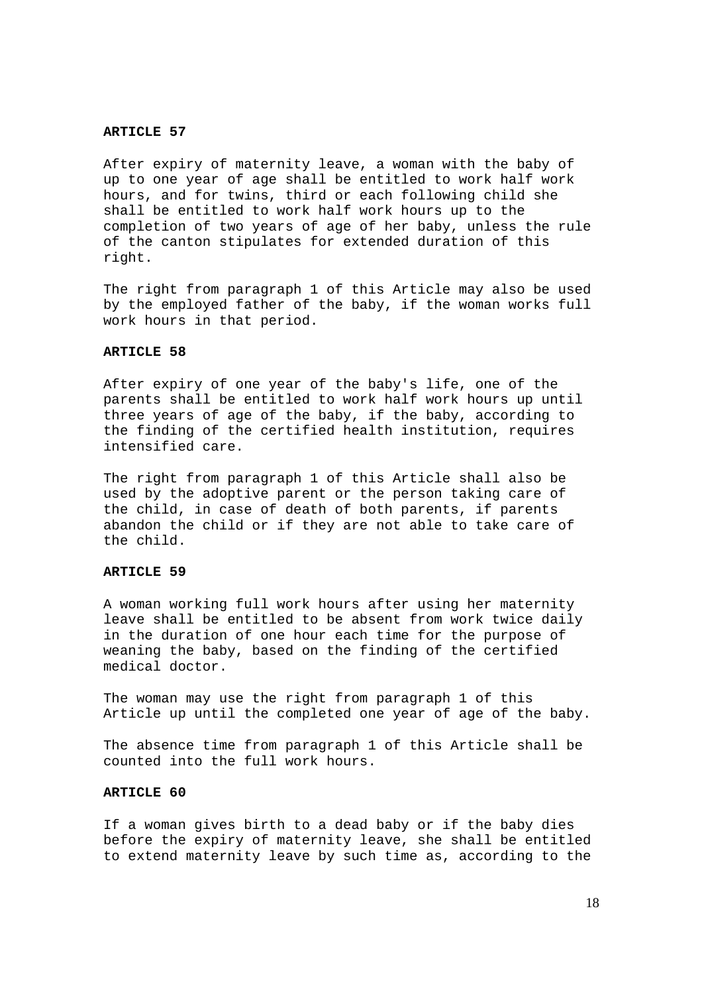After expiry of maternity leave, a woman with the baby of up to one year of age shall be entitled to work half work hours, and for twins, third or each following child she shall be entitled to work half work hours up to the completion of two years of age of her baby, unless the rule of the canton stipulates for extended duration of this right.

The right from paragraph 1 of this Article may also be used by the employed father of the baby, if the woman works full work hours in that period.

### **ARTICLE 58**

After expiry of one year of the baby's life, one of the parents shall be entitled to work half work hours up until three years of age of the baby, if the baby, according to the finding of the certified health institution, requires intensified care.

The right from paragraph 1 of this Article shall also be used by the adoptive parent or the person taking care of the child, in case of death of both parents, if parents abandon the child or if they are not able to take care of the child.

#### **ARTICLE 59**

A woman working full work hours after using her maternity leave shall be entitled to be absent from work twice daily in the duration of one hour each time for the purpose of weaning the baby, based on the finding of the certified medical doctor.

The woman may use the right from paragraph 1 of this Article up until the completed one year of age of the baby.

The absence time from paragraph 1 of this Article shall be counted into the full work hours.

#### **ARTICLE 60**

If a woman gives birth to a dead baby or if the baby dies before the expiry of maternity leave, she shall be entitled to extend maternity leave by such time as, according to the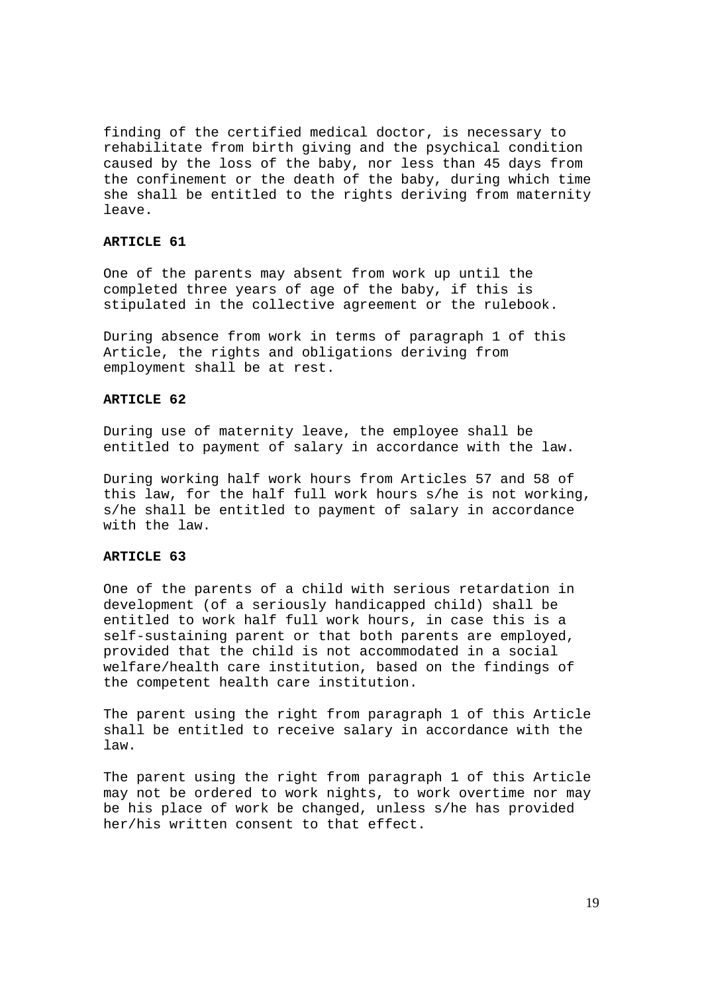finding of the certified medical doctor, is necessary to rehabilitate from birth giving and the psychical condition caused by the loss of the baby, nor less than 45 days from the confinement or the death of the baby, during which time she shall be entitled to the rights deriving from maternity leave.

### **ARTICLE 61**

One of the parents may absent from work up until the completed three years of age of the baby, if this is stipulated in the collective agreement or the rulebook.

During absence from work in terms of paragraph 1 of this Article, the rights and obligations deriving from employment shall be at rest.

#### **ARTICLE 62**

During use of maternity leave, the employee shall be entitled to payment of salary in accordance with the law.

During working half work hours from Articles 57 and 58 of this law, for the half full work hours s/he is not working, s/he shall be entitled to payment of salary in accordance with the law.

### **ARTICLE 63**

One of the parents of a child with serious retardation in development (of a seriously handicapped child) shall be entitled to work half full work hours, in case this is a self-sustaining parent or that both parents are employed, provided that the child is not accommodated in a social welfare/health care institution, based on the findings of the competent health care institution.

The parent using the right from paragraph 1 of this Article shall be entitled to receive salary in accordance with the law.

The parent using the right from paragraph 1 of this Article may not be ordered to work nights, to work overtime nor may be his place of work be changed, unless s/he has provided her/his written consent to that effect.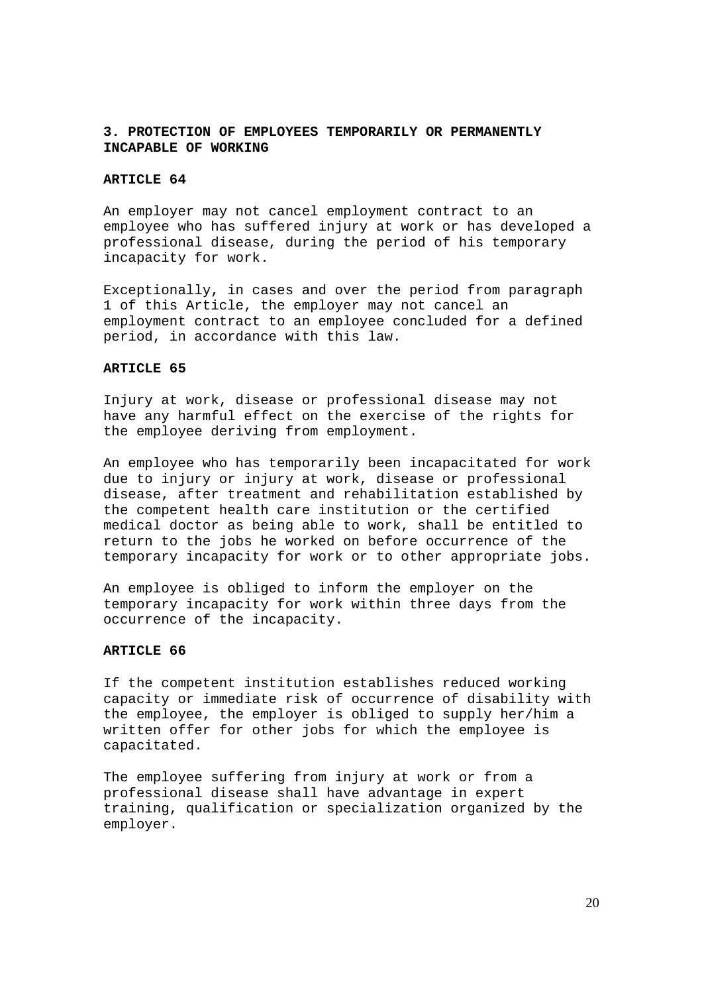## **3. PROTECTION OF EMPLOYEES TEMPORARILY OR PERMANENTLY INCAPABLE OF WORKING**

### **ARTICLE 64**

An employer may not cancel employment contract to an employee who has suffered injury at work or has developed a professional disease, during the period of his temporary incapacity for work.

Exceptionally, in cases and over the period from paragraph 1 of this Article, the employer may not cancel an employment contract to an employee concluded for a defined period, in accordance with this law.

### **ARTICLE 65**

Injury at work, disease or professional disease may not have any harmful effect on the exercise of the rights for the employee deriving from employment.

An employee who has temporarily been incapacitated for work due to injury or injury at work, disease or professional disease, after treatment and rehabilitation established by the competent health care institution or the certified medical doctor as being able to work, shall be entitled to return to the jobs he worked on before occurrence of the temporary incapacity for work or to other appropriate jobs.

An employee is obliged to inform the employer on the temporary incapacity for work within three days from the occurrence of the incapacity.

#### **ARTICLE 66**

If the competent institution establishes reduced working capacity or immediate risk of occurrence of disability with the employee, the employer is obliged to supply her/him a written offer for other jobs for which the employee is capacitated.

The employee suffering from injury at work or from a professional disease shall have advantage in expert training, qualification or specialization organized by the employer.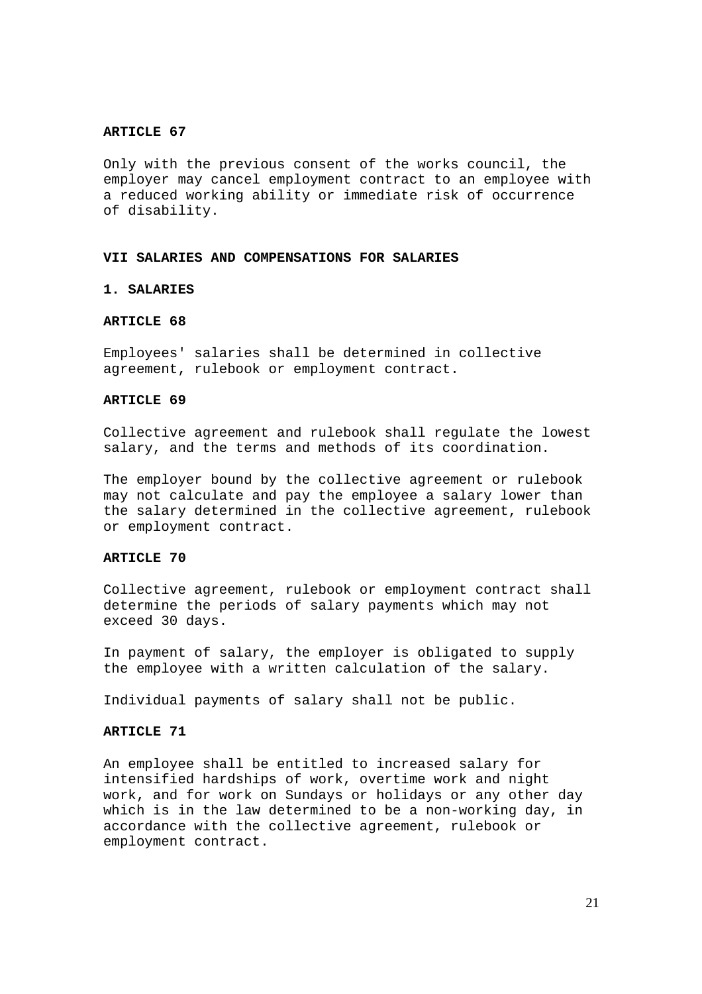Only with the previous consent of the works council, the employer may cancel employment contract to an employee with a reduced working ability or immediate risk of occurrence of disability.

### **VII SALARIES AND COMPENSATIONS FOR SALARIES**

## **1. SALARIES**

## **ARTICLE 68**

Employees' salaries shall be determined in collective agreement, rulebook or employment contract.

### **ARTICLE 69**

Collective agreement and rulebook shall regulate the lowest salary, and the terms and methods of its coordination.

The employer bound by the collective agreement or rulebook may not calculate and pay the employee a salary lower than the salary determined in the collective agreement, rulebook or employment contract.

#### ARTICLE 70

Collective agreement, rulebook or employment contract shall determine the periods of salary payments which may not exceed 30 days.

In payment of salary, the employer is obligated to supply the employee with a written calculation of the salary.

Individual payments of salary shall not be public.

#### **ARTICLE 71**

An employee shall be entitled to increased salary for intensified hardships of work, overtime work and night work, and for work on Sundays or holidays or any other day which is in the law determined to be a non-working day, in accordance with the collective agreement, rulebook or employment contract.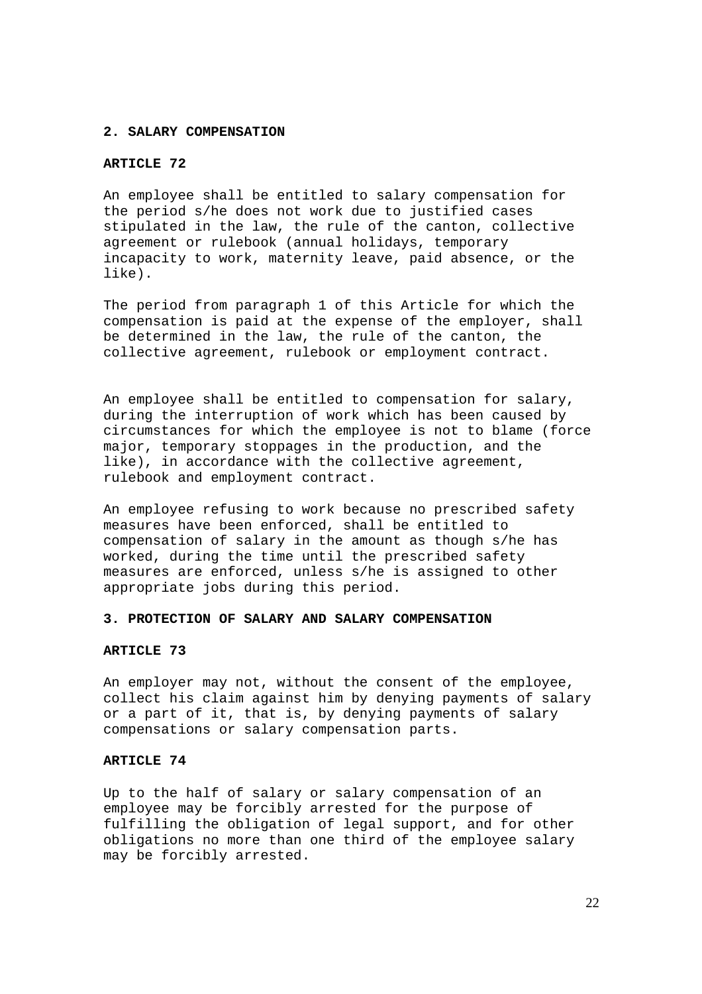#### **2. SALARY COMPENSATION**

## ARTICLE 72

An employee shall be entitled to salary compensation for the period s/he does not work due to justified cases stipulated in the law, the rule of the canton, collective agreement or rulebook (annual holidays, temporary incapacity to work, maternity leave, paid absence, or the like).

The period from paragraph 1 of this Article for which the compensation is paid at the expense of the employer, shall be determined in the law, the rule of the canton, the collective agreement, rulebook or employment contract.

An employee shall be entitled to compensation for salary, during the interruption of work which has been caused by circumstances for which the employee is not to blame (force major, temporary stoppages in the production, and the like), in accordance with the collective agreement, rulebook and employment contract.

An employee refusing to work because no prescribed safety measures have been enforced, shall be entitled to compensation of salary in the amount as though s/he has worked, during the time until the prescribed safety measures are enforced, unless s/he is assigned to other appropriate jobs during this period.

### **3. PROTECTION OF SALARY AND SALARY COMPENSATION**

### **ARTICLE 73**

An employer may not, without the consent of the employee, collect his claim against him by denying payments of salary or a part of it, that is, by denying payments of salary compensations or salary compensation parts.

### **ARTICLE 74**

Up to the half of salary or salary compensation of an employee may be forcibly arrested for the purpose of fulfilling the obligation of legal support, and for other obligations no more than one third of the employee salary may be forcibly arrested.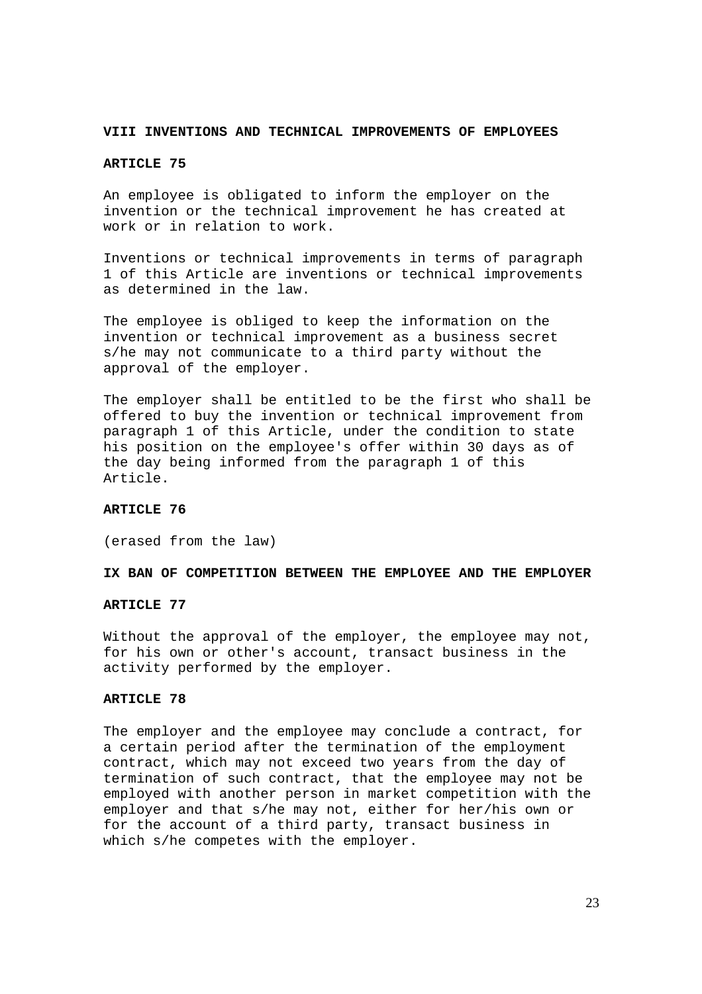#### **VIII INVENTIONS AND TECHNICAL IMPROVEMENTS OF EMPLOYEES**

## ARTICLE 75

An employee is obligated to inform the employer on the invention or the technical improvement he has created at work or in relation to work.

Inventions or technical improvements in terms of paragraph 1 of this Article are inventions or technical improvements as determined in the law.

The employee is obliged to keep the information on the invention or technical improvement as a business secret s/he may not communicate to a third party without the approval of the employer.

The employer shall be entitled to be the first who shall be offered to buy the invention or technical improvement from paragraph 1 of this Article, under the condition to state his position on the employee's offer within 30 days as of the day being informed from the paragraph 1 of this Article.

#### **ARTICLE 76**

(erased from the law)

#### **IX BAN OF COMPETITION BETWEEN THE EMPLOYEE AND THE EMPLOYER**

#### ARTICLE 77

Without the approval of the employer, the employee may not, for his own or other's account, transact business in the activity performed by the employer.

#### **ARTICLE 78**

The employer and the employee may conclude a contract, for a certain period after the termination of the employment contract, which may not exceed two years from the day of termination of such contract, that the employee may not be employed with another person in market competition with the employer and that s/he may not, either for her/his own or for the account of a third party, transact business in which s/he competes with the employer.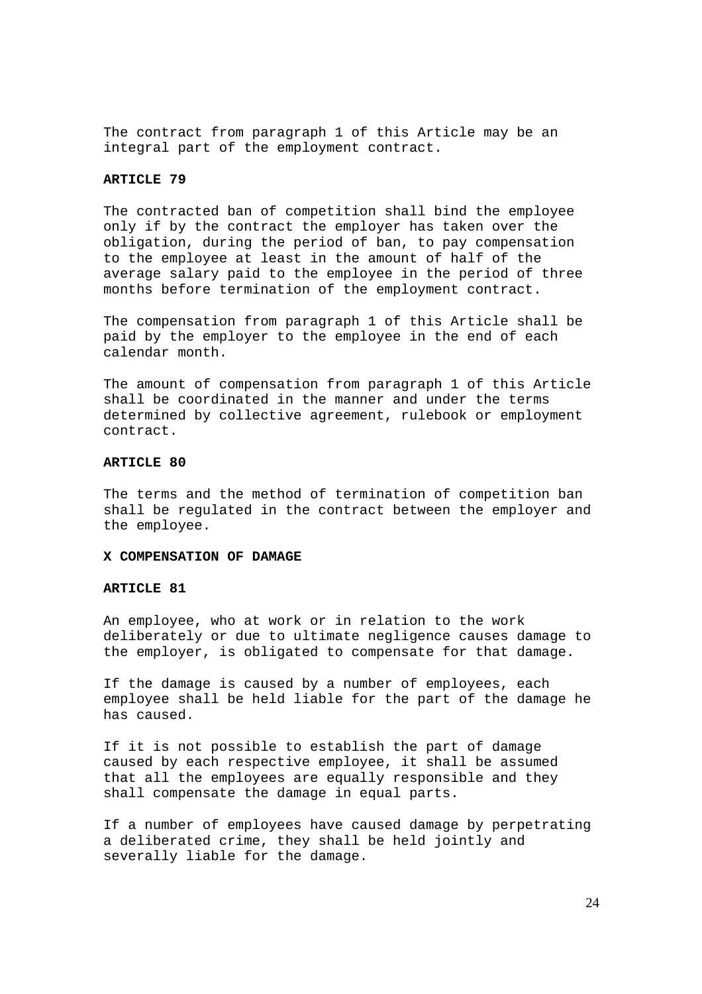The contract from paragraph 1 of this Article may be an integral part of the employment contract.

### **ARTICLE 79**

The contracted ban of competition shall bind the employee only if by the contract the employer has taken over the obligation, during the period of ban, to pay compensation to the employee at least in the amount of half of the average salary paid to the employee in the period of three months before termination of the employment contract.

The compensation from paragraph 1 of this Article shall be paid by the employer to the employee in the end of each calendar month.

The amount of compensation from paragraph 1 of this Article shall be coordinated in the manner and under the terms determined by collective agreement, rulebook or employment contract.

## **ARTICLE 80**

The terms and the method of termination of competition ban shall be regulated in the contract between the employer and the employee.

### **X COMPENSATION OF DAMAGE**

### **ARTICLE 81**

An employee, who at work or in relation to the work deliberately or due to ultimate negligence causes damage to the employer, is obligated to compensate for that damage.

If the damage is caused by a number of employees, each employee shall be held liable for the part of the damage he has caused.

If it is not possible to establish the part of damage caused by each respective employee, it shall be assumed that all the employees are equally responsible and they shall compensate the damage in equal parts.

If a number of employees have caused damage by perpetrating a deliberated crime, they shall be held jointly and severally liable for the damage.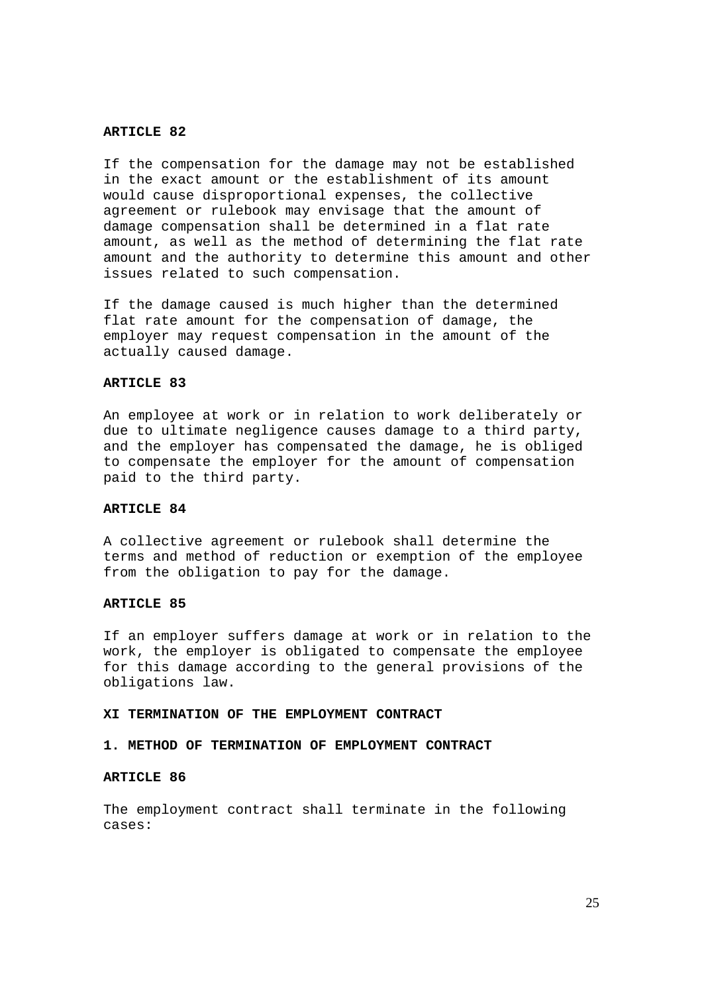If the compensation for the damage may not be established in the exact amount or the establishment of its amount would cause disproportional expenses, the collective agreement or rulebook may envisage that the amount of damage compensation shall be determined in a flat rate amount, as well as the method of determining the flat rate amount and the authority to determine this amount and other issues related to such compensation.

If the damage caused is much higher than the determined flat rate amount for the compensation of damage, the employer may request compensation in the amount of the actually caused damage.

## **ARTICLE 83**

An employee at work or in relation to work deliberately or due to ultimate negligence causes damage to a third party, and the employer has compensated the damage, he is obliged to compensate the employer for the amount of compensation paid to the third party.

### **ARTICLE 84**

A collective agreement or rulebook shall determine the terms and method of reduction or exemption of the employee from the obligation to pay for the damage.

#### ARTICLE 85

If an employer suffers damage at work or in relation to the work, the employer is obligated to compensate the employee for this damage according to the general provisions of the obligations law.

#### **XI TERMINATION OF THE EMPLOYMENT CONTRACT**

### **1. METHOD OF TERMINATION OF EMPLOYMENT CONTRACT**

#### **ARTICLE 86**

The employment contract shall terminate in the following cases: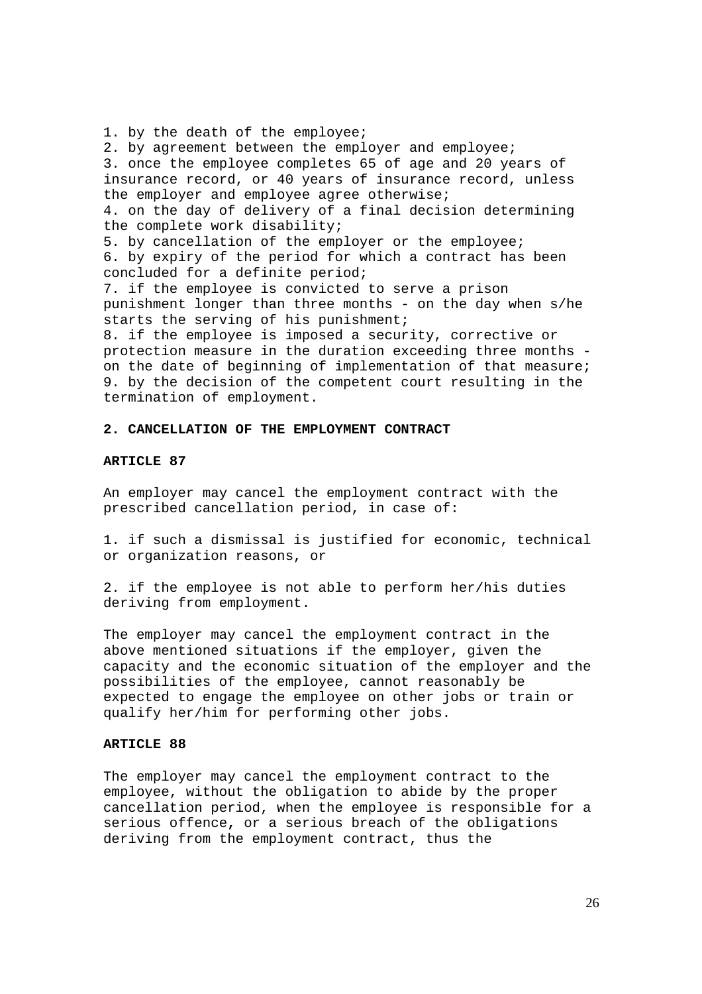1. by the death of the employee; 2. by agreement between the employer and employee; 3. once the employee completes 65 of age and 20 years of insurance record, or 40 years of insurance record, unless the employer and employee agree otherwise; 4. on the day of delivery of a final decision determining the complete work disability; 5. by cancellation of the employer or the employee; 6. by expiry of the period for which a contract has been concluded for a definite period; 7. if the employee is convicted to serve a prison punishment longer than three months - on the day when s/he starts the serving of his punishment; 8. if the employee is imposed a security, corrective or protection measure in the duration exceeding three months -

on the date of beginning of implementation of that measure; 9. by the decision of the competent court resulting in the termination of employment.

### **2. CANCELLATION OF THE EMPLOYMENT CONTRACT**

#### **ARTICLE 87**

An employer may cancel the employment contract with the prescribed cancellation period, in case of:

1. if such a dismissal is justified for economic, technical or organization reasons, or

2. if the employee is not able to perform her/his duties deriving from employment.

The employer may cancel the employment contract in the above mentioned situations if the employer, given the capacity and the economic situation of the employer and the possibilities of the employee, cannot reasonably be expected to engage the employee on other jobs or train or qualify her/him for performing other jobs.

### **ARTICLE 88**

The employer may cancel the employment contract to the employee, without the obligation to abide by the proper cancellation period, when the employee is responsible for a serious offence**,** or a serious breach of the obligations deriving from the employment contract, thus the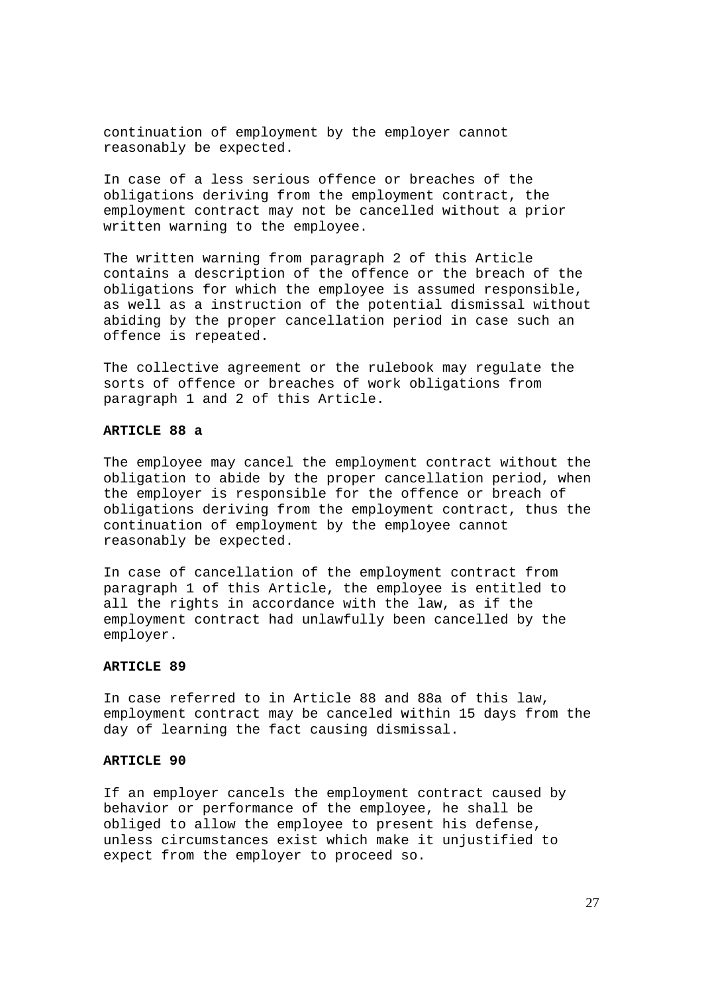continuation of employment by the employer cannot reasonably be expected.

In case of a less serious offence or breaches of the obligations deriving from the employment contract, the employment contract may not be cancelled without a prior written warning to the employee.

The written warning from paragraph 2 of this Article contains a description of the offence or the breach of the obligations for which the employee is assumed responsible, as well as a instruction of the potential dismissal without abiding by the proper cancellation period in case such an offence is repeated.

The collective agreement or the rulebook may regulate the sorts of offence or breaches of work obligations from paragraph 1 and 2 of this Article.

#### **ARTICLE 88 a**

The employee may cancel the employment contract without the obligation to abide by the proper cancellation period, when the employer is responsible for the offence or breach of obligations deriving from the employment contract, thus the continuation of employment by the employee cannot reasonably be expected.

In case of cancellation of the employment contract from paragraph 1 of this Article, the employee is entitled to all the rights in accordance with the law, as if the employment contract had unlawfully been cancelled by the employer.

## **ARTICLE 89**

In case referred to in Article 88 and 88a of this law, employment contract may be canceled within 15 days from the day of learning the fact causing dismissal.

### **ARTICLE 90**

If an employer cancels the employment contract caused by behavior or performance of the employee, he shall be obliged to allow the employee to present his defense, unless circumstances exist which make it unjustified to expect from the employer to proceed so.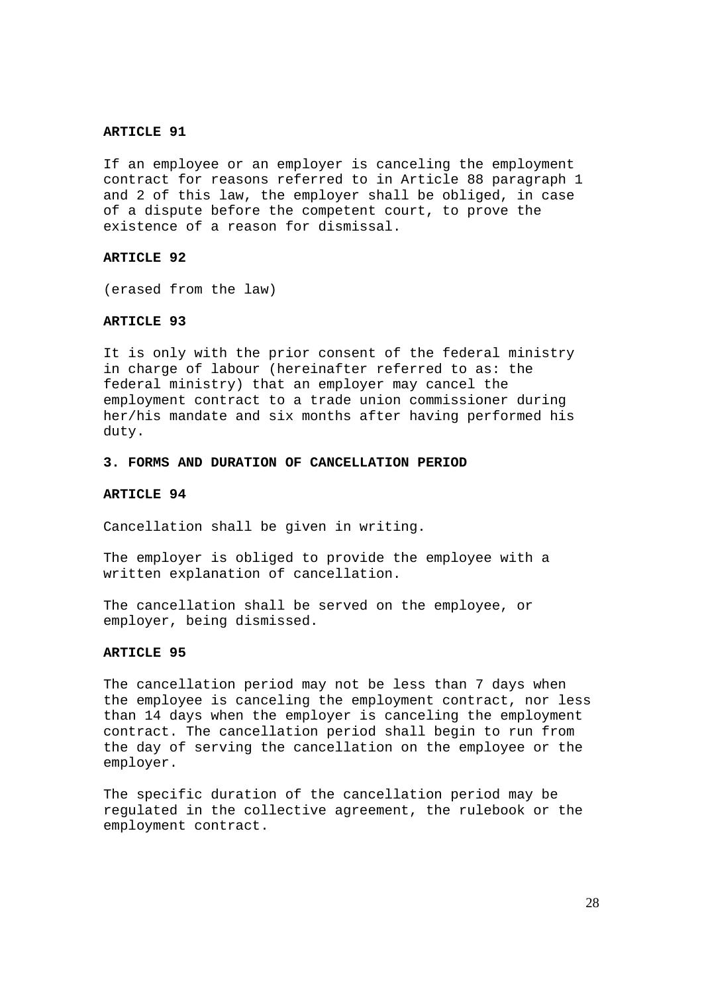If an employee or an employer is canceling the employment contract for reasons referred to in Article 88 paragraph 1 and 2 of this law, the employer shall be obliged, in case of a dispute before the competent court, to prove the existence of a reason for dismissal.

#### **ARTICLE 92**

(erased from the law)

### **ARTICLE 93**

It is only with the prior consent of the federal ministry in charge of labour (hereinafter referred to as: the federal ministry) that an employer may cancel the employment contract to a trade union commissioner during her/his mandate and six months after having performed his duty.

### **3. FORMS AND DURATION OF CANCELLATION PERIOD**

#### **ARTICLE 94**

Cancellation shall be given in writing.

The employer is obliged to provide the employee with a written explanation of cancellation.

The cancellation shall be served on the employee, or employer, being dismissed.

#### **ARTICLE 95**

The cancellation period may not be less than 7 days when the employee is canceling the employment contract, nor less than 14 days when the employer is canceling the employment contract. The cancellation period shall begin to run from the day of serving the cancellation on the employee or the employer.

The specific duration of the cancellation period may be regulated in the collective agreement, the rulebook or the employment contract.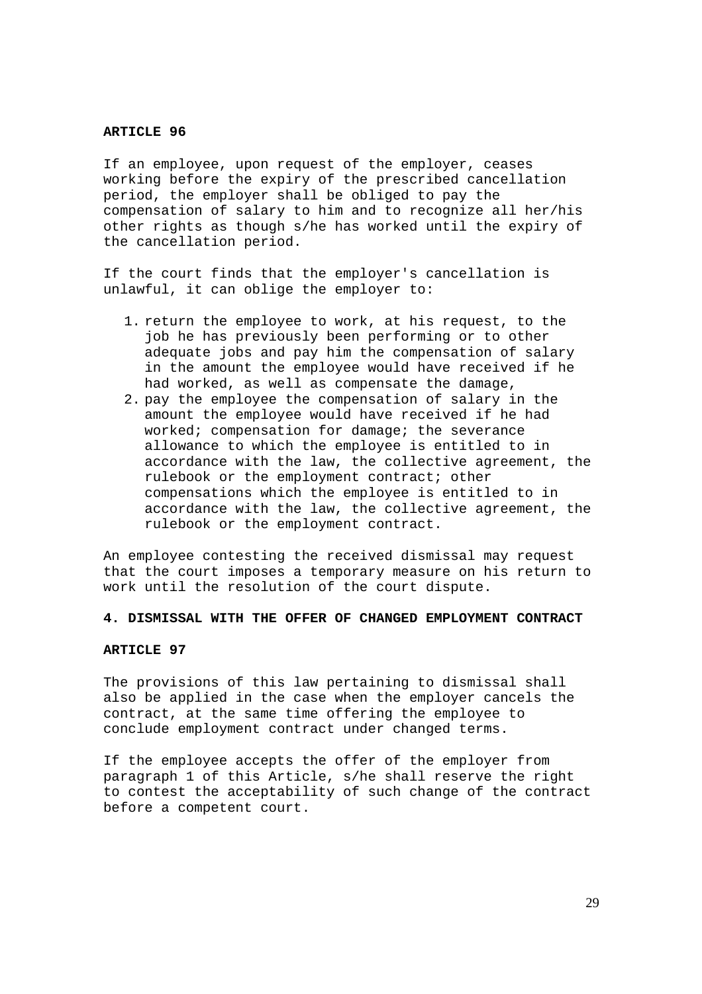If an employee, upon request of the employer, ceases working before the expiry of the prescribed cancellation period, the employer shall be obliged to pay the compensation of salary to him and to recognize all her/his other rights as though s/he has worked until the expiry of the cancellation period.

If the court finds that the employer's cancellation is unlawful, it can oblige the employer to:

- 1. return the employee to work, at his request, to the job he has previously been performing or to other adequate jobs and pay him the compensation of salary in the amount the employee would have received if he had worked, as well as compensate the damage,
- 2. pay the employee the compensation of salary in the amount the employee would have received if he had worked; compensation for damage; the severance allowance to which the employee is entitled to in accordance with the law, the collective agreement, the rulebook or the employment contract; other compensations which the employee is entitled to in accordance with the law, the collective agreement, the rulebook or the employment contract.

An employee contesting the received dismissal may request that the court imposes a temporary measure on his return to work until the resolution of the court dispute.

### **4. DISMISSAL WITH THE OFFER OF CHANGED EMPLOYMENT CONTRACT**

### **ARTICLE 97**

The provisions of this law pertaining to dismissal shall also be applied in the case when the employer cancels the contract, at the same time offering the employee to conclude employment contract under changed terms.

If the employee accepts the offer of the employer from paragraph 1 of this Article, s/he shall reserve the right to contest the acceptability of such change of the contract before a competent court.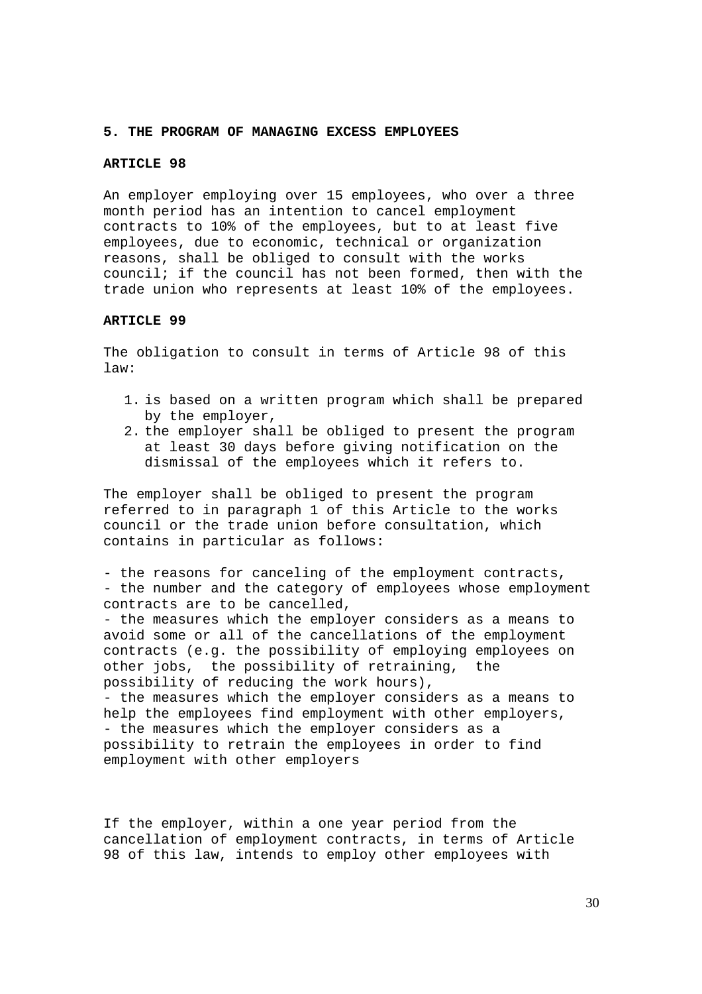#### **5. THE PROGRAM OF MANAGING EXCESS EMPLOYEES**

#### **ARTICLE 98**

An employer employing over 15 employees, who over a three month period has an intention to cancel employment contracts to 10% of the employees, but to at least five employees, due to economic, technical or organization reasons, shall be obliged to consult with the works council; if the council has not been formed, then with the trade union who represents at least 10% of the employees.

#### **ARTICLE 99**

The obligation to consult in terms of Article 98 of this law:

- 1. is based on a written program which shall be prepared by the employer,
- 2. the employer shall be obliged to present the program at least 30 days before giving notification on the dismissal of the employees which it refers to.

The employer shall be obliged to present the program referred to in paragraph 1 of this Article to the works council or the trade union before consultation, which contains in particular as follows:

- the reasons for canceling of the employment contracts, - the number and the category of employees whose employment contracts are to be cancelled, - the measures which the employer considers as a means to avoid some or all of the cancellations of the employment contracts (e.g. the possibility of employing employees on other jobs, the possibility of retraining, the possibility of reducing the work hours), - the measures which the employer considers as a means to help the employees find employment with other employers, - the measures which the employer considers as a possibility to retrain the employees in order to find employment with other employers

If the employer, within a one year period from the cancellation of employment contracts, in terms of Article 98 of this law, intends to employ other employees with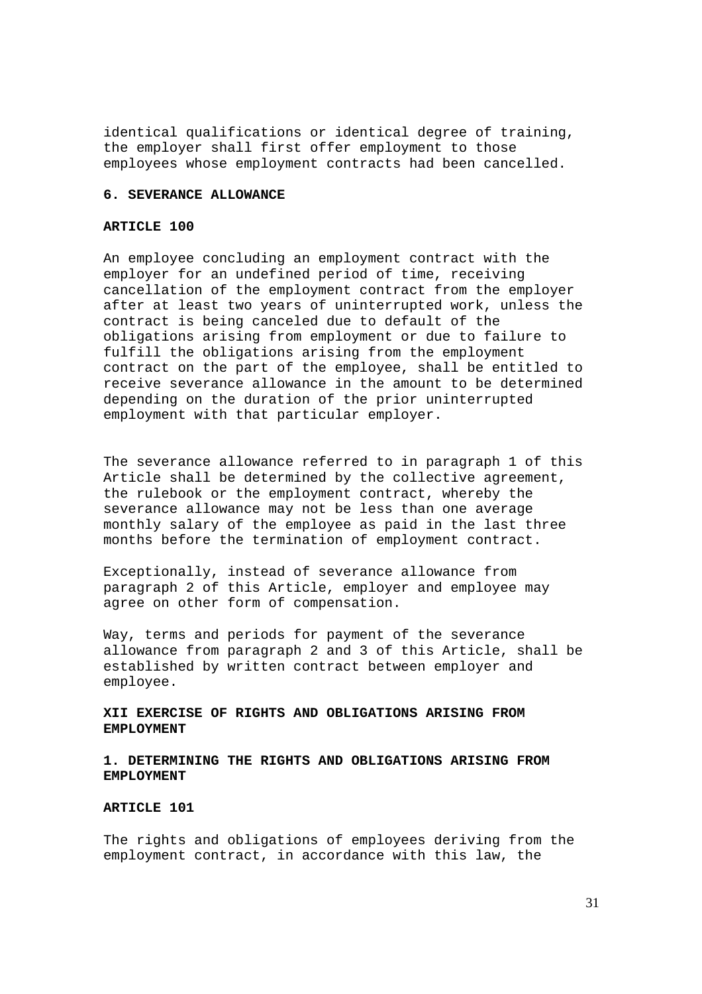identical qualifications or identical degree of training, the employer shall first offer employment to those employees whose employment contracts had been cancelled.

#### **6. SEVERANCE ALLOWANCE**

## **ARTICLE 100**

An employee concluding an employment contract with the employer for an undefined period of time, receiving cancellation of the employment contract from the employer after at least two years of uninterrupted work, unless the contract is being canceled due to default of the obligations arising from employment or due to failure to fulfill the obligations arising from the employment contract on the part of the employee, shall be entitled to receive severance allowance in the amount to be determined depending on the duration of the prior uninterrupted employment with that particular employer.

The severance allowance referred to in paragraph 1 of this Article shall be determined by the collective agreement, the rulebook or the employment contract, whereby the severance allowance may not be less than one average monthly salary of the employee as paid in the last three months before the termination of employment contract.

Exceptionally, instead of severance allowance from paragraph 2 of this Article, employer and employee may agree on other form of compensation.

Way, terms and periods for payment of the severance allowance from paragraph 2 and 3 of this Article, shall be established by written contract between employer and employee.

## **XII EXERCISE OF RIGHTS AND OBLIGATIONS ARISING FROM EMPLOYMENT**

## **1. DETERMINING THE RIGHTS AND OBLIGATIONS ARISING FROM EMPLOYMENT**

### **ARTICLE 101**

The rights and obligations of employees deriving from the employment contract, in accordance with this law, the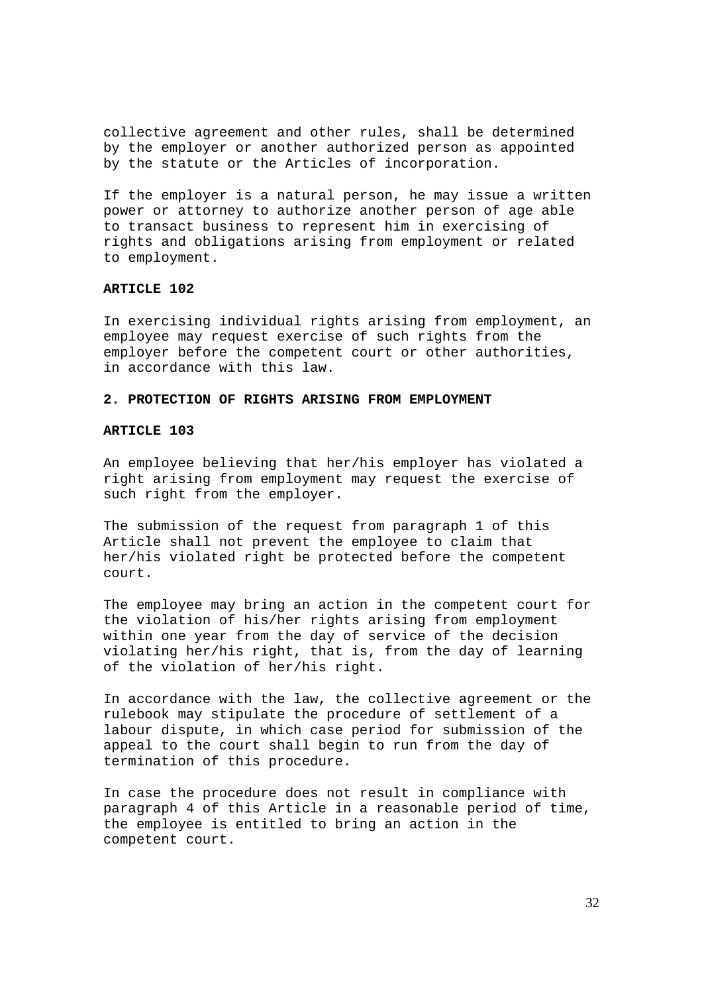collective agreement and other rules, shall be determined by the employer or another authorized person as appointed by the statute or the Articles of incorporation.

If the employer is a natural person, he may issue a written power or attorney to authorize another person of age able to transact business to represent him in exercising of rights and obligations arising from employment or related to employment.

### **ARTICLE 102**

In exercising individual rights arising from employment, an employee may request exercise of such rights from the employer before the competent court or other authorities, in accordance with this law.

## **2. PROTECTION OF RIGHTS ARISING FROM EMPLOYMENT**

### **ARTICLE 103**

An employee believing that her/his employer has violated a right arising from employment may request the exercise of such right from the employer.

The submission of the request from paragraph 1 of this Article shall not prevent the employee to claim that her/his violated right be protected before the competent court.

The employee may bring an action in the competent court for the violation of his/her rights arising from employment within one year from the day of service of the decision violating her/his right, that is, from the day of learning of the violation of her/his right.

In accordance with the law, the collective agreement or the rulebook may stipulate the procedure of settlement of a labour dispute, in which case period for submission of the appeal to the court shall begin to run from the day of termination of this procedure.

In case the procedure does not result in compliance with paragraph 4 of this Article in a reasonable period of time, the employee is entitled to bring an action in the competent court.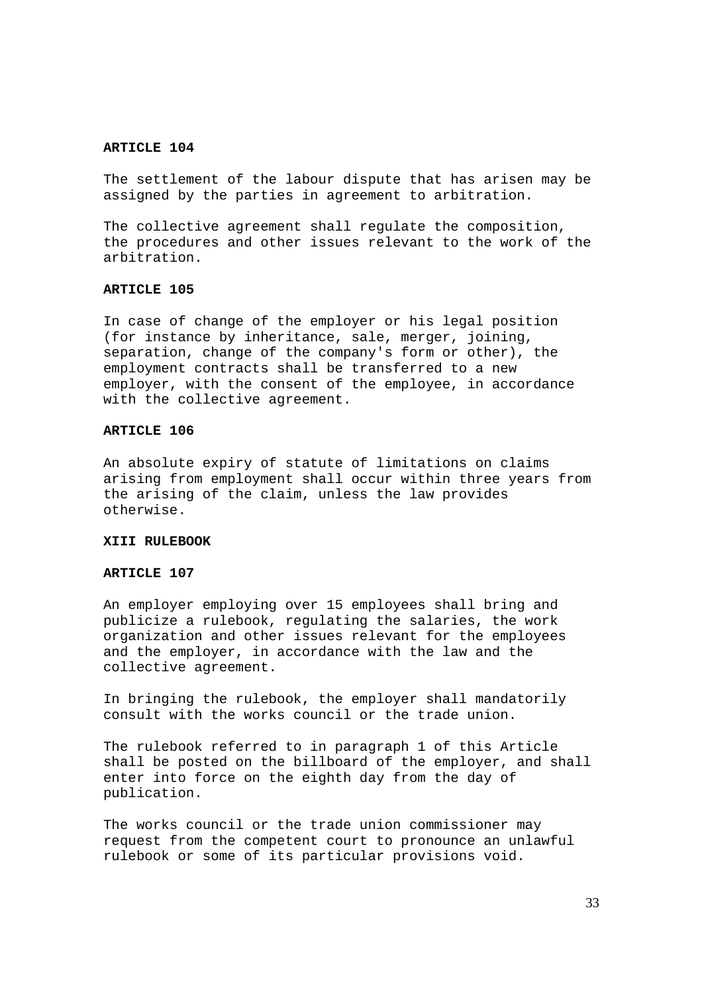The settlement of the labour dispute that has arisen may be assigned by the parties in agreement to arbitration.

The collective agreement shall regulate the composition, the procedures and other issues relevant to the work of the arbitration.

## **ARTICLE 105**

In case of change of the employer or his legal position (for instance by inheritance, sale, merger, joining, separation, change of the company's form or other), the employment contracts shall be transferred to a new employer, with the consent of the employee, in accordance with the collective agreement.

#### **ARTICLE 106**

An absolute expiry of statute of limitations on claims arising from employment shall occur within three years from the arising of the claim, unless the law provides otherwise.

## **XIII RULEBOOK**

### **ARTICLE 107**

An employer employing over 15 employees shall bring and publicize a rulebook, regulating the salaries, the work organization and other issues relevant for the employees and the employer, in accordance with the law and the collective agreement.

In bringing the rulebook, the employer shall mandatorily consult with the works council or the trade union.

The rulebook referred to in paragraph 1 of this Article shall be posted on the billboard of the employer, and shall enter into force on the eighth day from the day of publication.

The works council or the trade union commissioner may request from the competent court to pronounce an unlawful rulebook or some of its particular provisions void.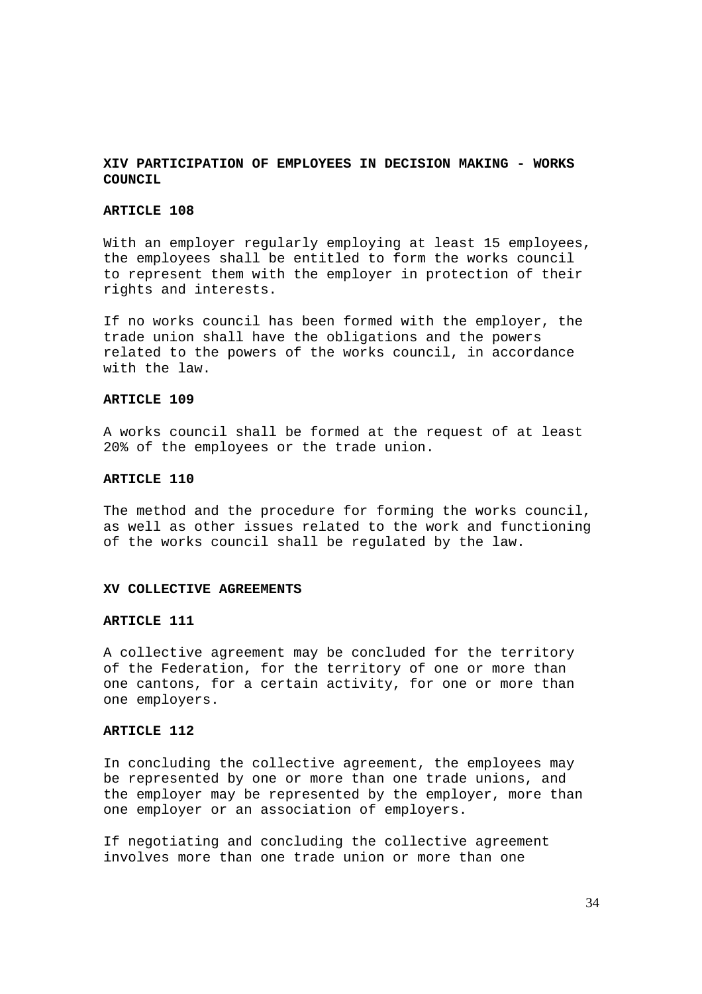## **XIV PARTICIPATION OF EMPLOYEES IN DECISION MAKING - WORKS COUNCIL**

### **ARTICLE 108**

With an employer reqularly employing at least 15 employees, the employees shall be entitled to form the works council to represent them with the employer in protection of their rights and interests.

If no works council has been formed with the employer, the trade union shall have the obligations and the powers related to the powers of the works council, in accordance with the law.

### **ARTICLE 109**

A works council shall be formed at the request of at least 20% of the employees or the trade union.

#### **ARTICLE 110**

The method and the procedure for forming the works council, as well as other issues related to the work and functioning of the works council shall be regulated by the law.

#### **XV COLLECTIVE AGREEMENTS**

#### **ARTICLE 111**

A collective agreement may be concluded for the territory of the Federation, for the territory of one or more than one cantons, for a certain activity, for one or more than one employers.

### **ARTICLE 112**

In concluding the collective agreement, the employees may be represented by one or more than one trade unions, and the employer may be represented by the employer, more than one employer or an association of employers.

If negotiating and concluding the collective agreement involves more than one trade union or more than one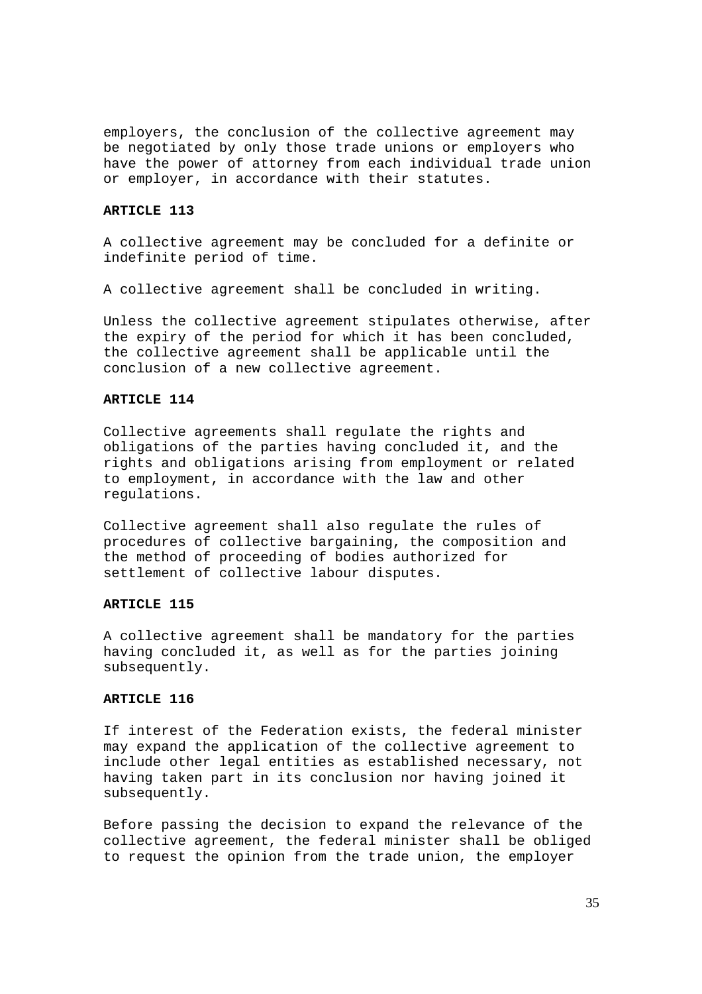employers, the conclusion of the collective agreement may be negotiated by only those trade unions or employers who have the power of attorney from each individual trade union or employer, in accordance with their statutes.

#### **ARTICLE 113**

A collective agreement may be concluded for a definite or indefinite period of time.

A collective agreement shall be concluded in writing.

Unless the collective agreement stipulates otherwise, after the expiry of the period for which it has been concluded, the collective agreement shall be applicable until the conclusion of a new collective agreement.

### **ARTICLE 114**

Collective agreements shall regulate the rights and obligations of the parties having concluded it, and the rights and obligations arising from employment or related to employment, in accordance with the law and other regulations.

Collective agreement shall also regulate the rules of procedures of collective bargaining, the composition and the method of proceeding of bodies authorized for settlement of collective labour disputes.

## **ARTICLE 115**

A collective agreement shall be mandatory for the parties having concluded it, as well as for the parties joining subsequently.

#### **ARTICLE 116**

If interest of the Federation exists, the federal minister may expand the application of the collective agreement to include other legal entities as established necessary, not having taken part in its conclusion nor having joined it subsequently.

Before passing the decision to expand the relevance of the collective agreement, the federal minister shall be obliged to request the opinion from the trade union, the employer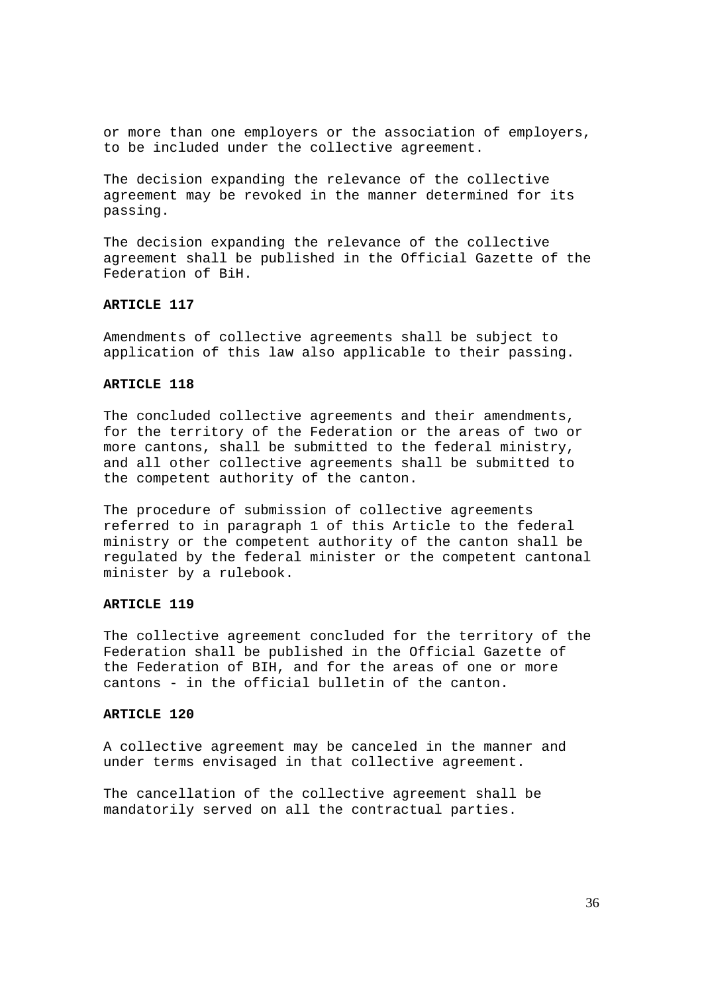or more than one employers or the association of employers, to be included under the collective agreement.

The decision expanding the relevance of the collective agreement may be revoked in the manner determined for its passing.

The decision expanding the relevance of the collective agreement shall be published in the Official Gazette of the Federation of BiH.

## **ARTICLE 117**

Amendments of collective agreements shall be subject to application of this law also applicable to their passing.

#### **ARTICLE 118**

The concluded collective agreements and their amendments, for the territory of the Federation or the areas of two or more cantons, shall be submitted to the federal ministry, and all other collective agreements shall be submitted to the competent authority of the canton.

The procedure of submission of collective agreements referred to in paragraph 1 of this Article to the federal ministry or the competent authority of the canton shall be regulated by the federal minister or the competent cantonal minister by a rulebook.

## **ARTICLE 119**

The collective agreement concluded for the territory of the Federation shall be published in the Official Gazette of the Federation of BIH, and for the areas of one or more cantons - in the official bulletin of the canton.

### **ARTICLE 120**

A collective agreement may be canceled in the manner and under terms envisaged in that collective agreement.

The cancellation of the collective agreement shall be mandatorily served on all the contractual parties.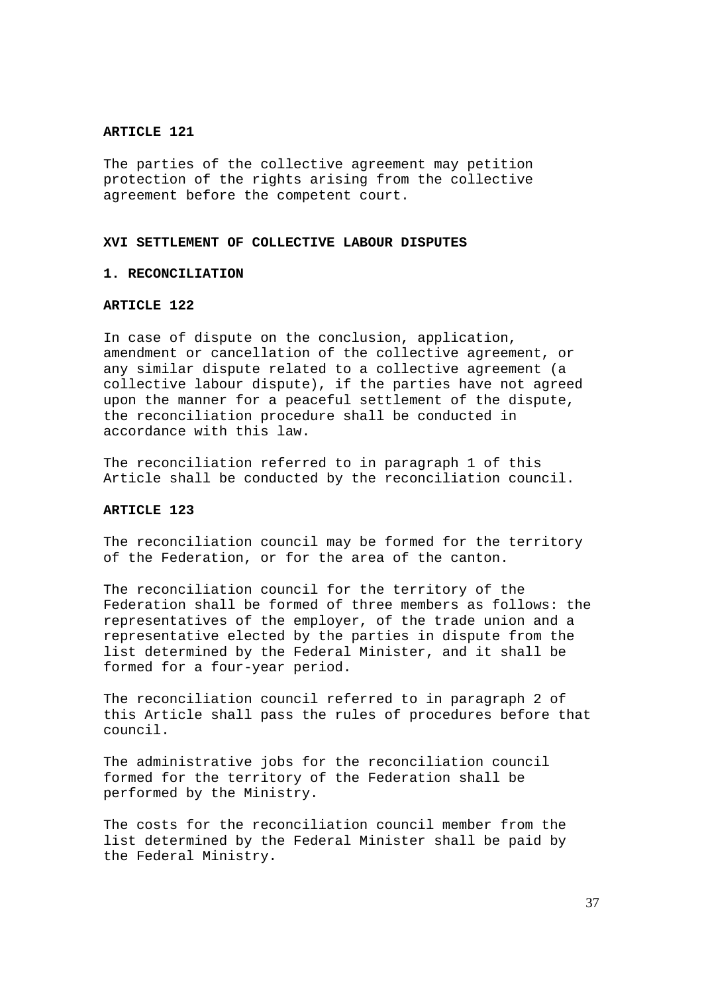The parties of the collective agreement may petition protection of the rights arising from the collective agreement before the competent court.

## **XVI SETTLEMENT OF COLLECTIVE LABOUR DISPUTES**

## **1. RECONCILIATION**

## **ARTICLE 122**

In case of dispute on the conclusion, application, amendment or cancellation of the collective agreement, or any similar dispute related to a collective agreement (a collective labour dispute), if the parties have not agreed upon the manner for a peaceful settlement of the dispute, the reconciliation procedure shall be conducted in accordance with this law.

The reconciliation referred to in paragraph 1 of this Article shall be conducted by the reconciliation council.

#### **ARTICLE 123**

The reconciliation council may be formed for the territory of the Federation, or for the area of the canton.

The reconciliation council for the territory of the Federation shall be formed of three members as follows: the representatives of the employer, of the trade union and a representative elected by the parties in dispute from the list determined by the Federal Minister, and it shall be formed for a four-year period.

The reconciliation council referred to in paragraph 2 of this Article shall pass the rules of procedures before that council.

The administrative jobs for the reconciliation council formed for the territory of the Federation shall be performed by the Ministry.

The costs for the reconciliation council member from the list determined by the Federal Minister shall be paid by the Federal Ministry.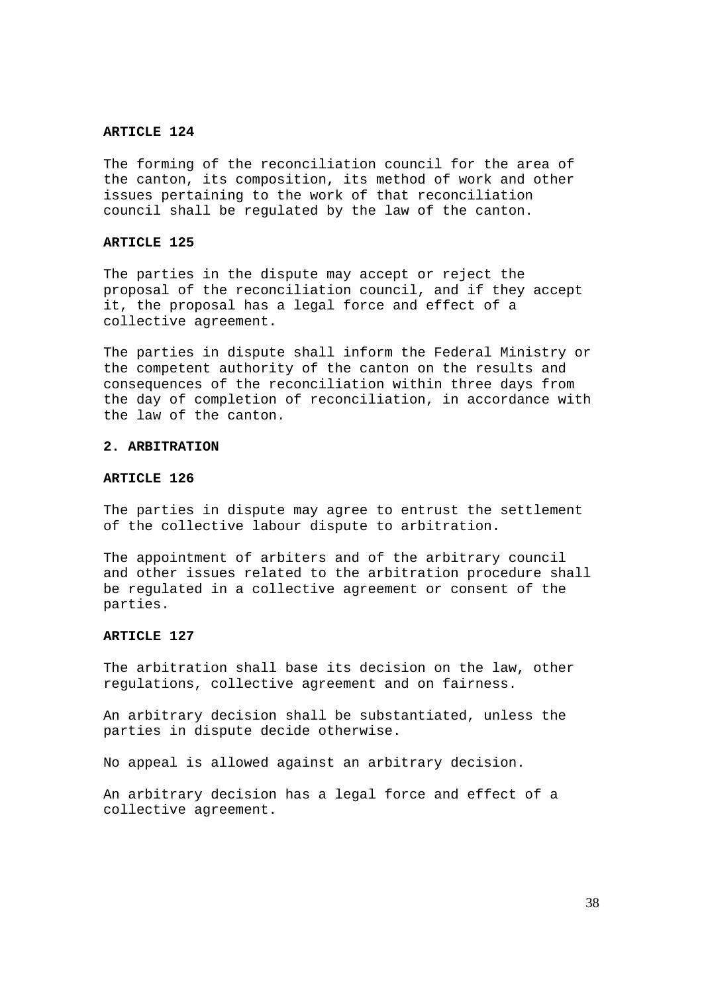The forming of the reconciliation council for the area of the canton, its composition, its method of work and other issues pertaining to the work of that reconciliation council shall be regulated by the law of the canton.

### **ARTICLE 125**

The parties in the dispute may accept or reject the proposal of the reconciliation council, and if they accept it, the proposal has a legal force and effect of a collective agreement.

The parties in dispute shall inform the Federal Ministry or the competent authority of the canton on the results and consequences of the reconciliation within three days from the day of completion of reconciliation, in accordance with the law of the canton.

#### **2. ARBITRATION**

### **ARTICLE 126**

The parties in dispute may agree to entrust the settlement of the collective labour dispute to arbitration.

The appointment of arbiters and of the arbitrary council and other issues related to the arbitration procedure shall be regulated in a collective agreement or consent of the parties.

#### **ARTICLE 127**

The arbitration shall base its decision on the law, other regulations, collective agreement and on fairness.

An arbitrary decision shall be substantiated, unless the parties in dispute decide otherwise.

No appeal is allowed against an arbitrary decision.

An arbitrary decision has a legal force and effect of a collective agreement.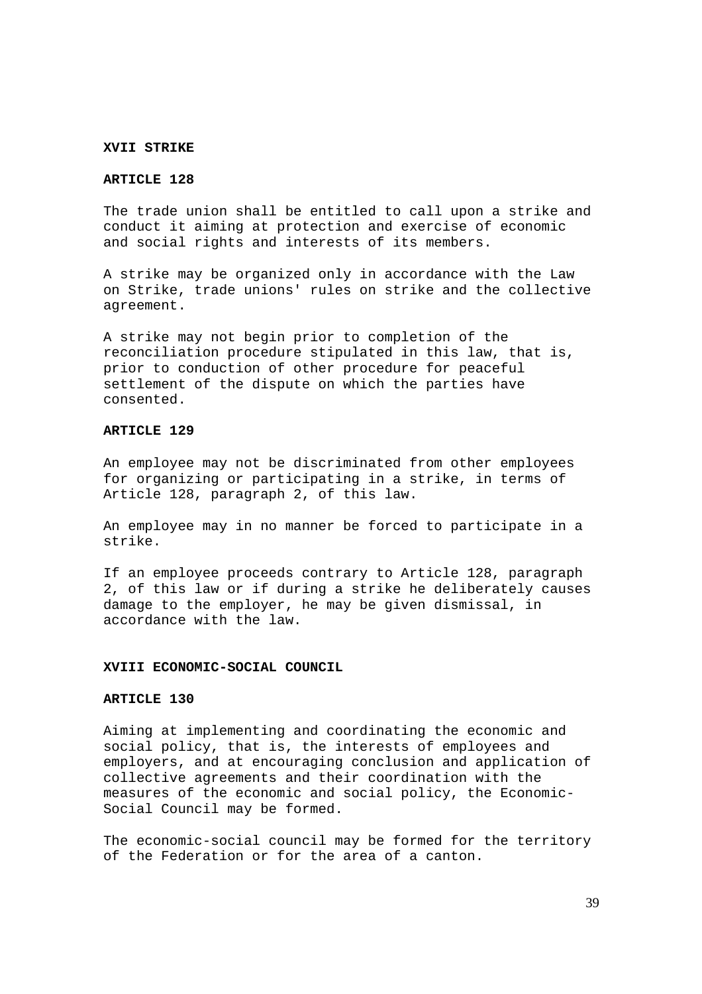### **XVII STRIKE**

### **ARTICLE 128**

The trade union shall be entitled to call upon a strike and conduct it aiming at protection and exercise of economic and social rights and interests of its members.

A strike may be organized only in accordance with the Law on Strike, trade unions' rules on strike and the collective agreement.

A strike may not begin prior to completion of the reconciliation procedure stipulated in this law, that is, prior to conduction of other procedure for peaceful settlement of the dispute on which the parties have consented.

### **ARTICLE 129**

An employee may not be discriminated from other employees for organizing or participating in a strike, in terms of Article 128, paragraph 2, of this law.

An employee may in no manner be forced to participate in a strike.

If an employee proceeds contrary to Article 128, paragraph 2, of this law or if during a strike he deliberately causes damage to the employer, he may be given dismissal, in accordance with the law.

#### **XVIII ECONOMIC-SOCIAL COUNCIL**

#### **ARTICLE 130**

Aiming at implementing and coordinating the economic and social policy, that is, the interests of employees and employers, and at encouraging conclusion and application of collective agreements and their coordination with the measures of the economic and social policy, the Economic-Social Council may be formed.

The economic-social council may be formed for the territory of the Federation or for the area of a canton.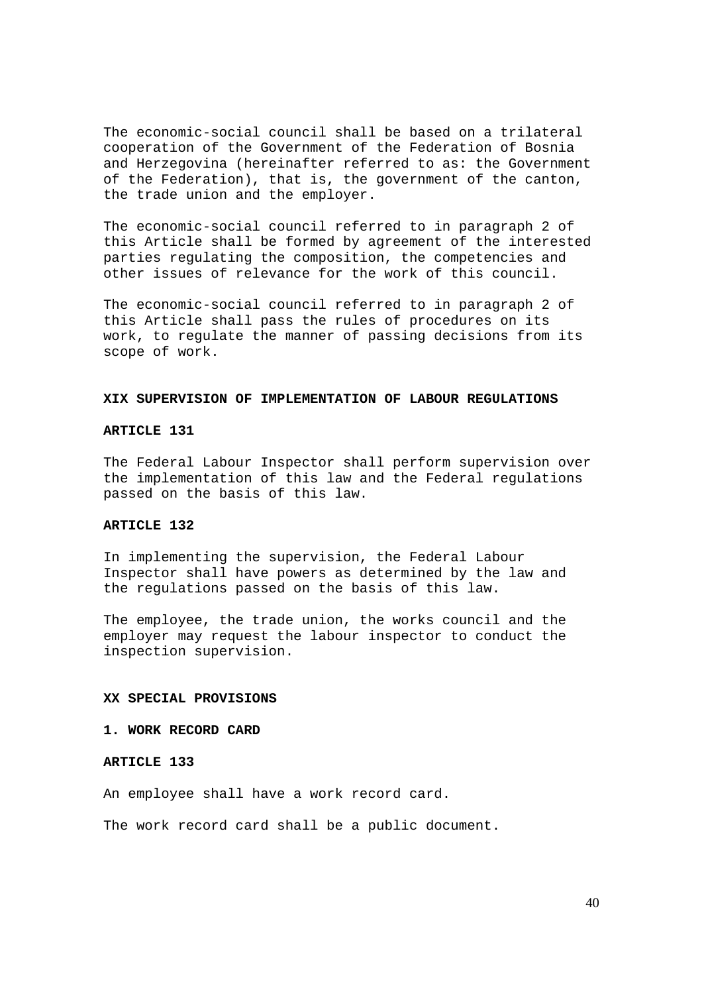The economic-social council shall be based on a trilateral cooperation of the Government of the Federation of Bosnia and Herzegovina (hereinafter referred to as: the Government of the Federation), that is, the government of the canton, the trade union and the employer.

The economic-social council referred to in paragraph 2 of this Article shall be formed by agreement of the interested parties regulating the composition, the competencies and other issues of relevance for the work of this council.

The economic-social council referred to in paragraph 2 of this Article shall pass the rules of procedures on its work, to regulate the manner of passing decisions from its scope of work.

#### **XIX SUPERVISION OF IMPLEMENTATION OF LABOUR REGULATIONS**

#### **ARTICLE 131**

The Federal Labour Inspector shall perform supervision over the implementation of this law and the Federal regulations passed on the basis of this law.

## **ARTICLE 132**

In implementing the supervision, the Federal Labour Inspector shall have powers as determined by the law and the regulations passed on the basis of this law.

The employee, the trade union, the works council and the employer may request the labour inspector to conduct the inspection supervision.

#### **XX SPECIAL PROVISIONS**

**1. WORK RECORD CARD**

#### **ARTICLE 133**

An employee shall have a work record card.

The work record card shall be a public document.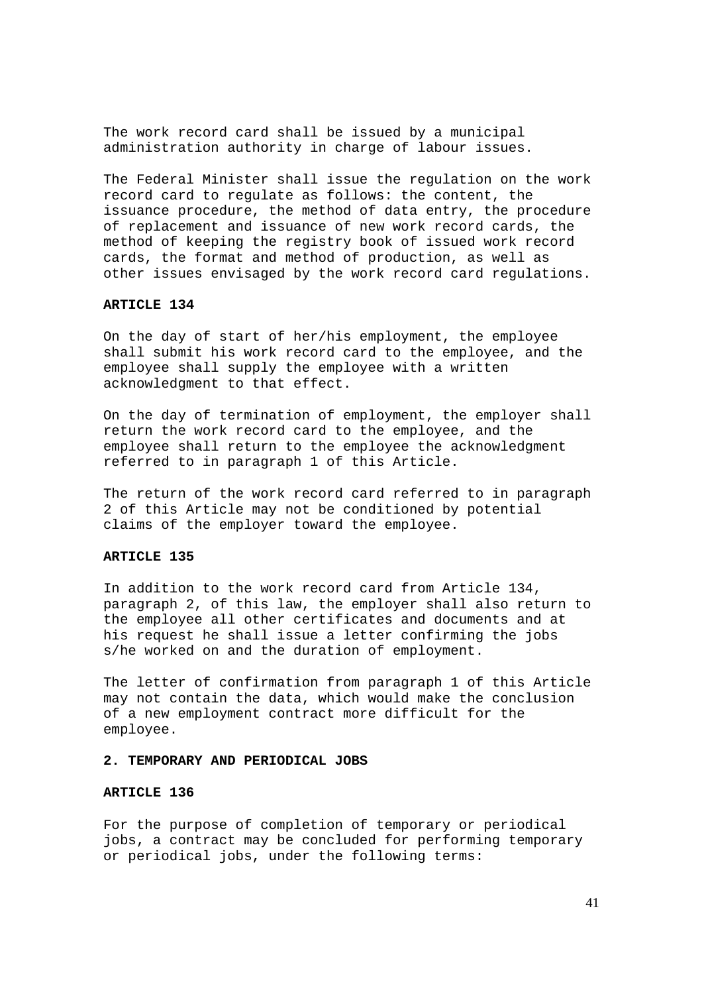The work record card shall be issued by a municipal administration authority in charge of labour issues.

The Federal Minister shall issue the regulation on the work record card to regulate as follows: the content, the issuance procedure, the method of data entry, the procedure of replacement and issuance of new work record cards, the method of keeping the registry book of issued work record cards, the format and method of production, as well as other issues envisaged by the work record card regulations.

### **ARTICLE 134**

On the day of start of her/his employment, the employee shall submit his work record card to the employee, and the employee shall supply the employee with a written acknowledgment to that effect.

On the day of termination of employment, the employer shall return the work record card to the employee, and the employee shall return to the employee the acknowledgment referred to in paragraph 1 of this Article.

The return of the work record card referred to in paragraph 2 of this Article may not be conditioned by potential claims of the employer toward the employee.

### **ARTICLE 135**

In addition to the work record card from Article 134, paragraph 2, of this law, the employer shall also return to the employee all other certificates and documents and at his request he shall issue a letter confirming the jobs s/he worked on and the duration of employment.

The letter of confirmation from paragraph 1 of this Article may not contain the data, which would make the conclusion of a new employment contract more difficult for the employee.

### **2. TEMPORARY AND PERIODICAL JOBS**

#### **ARTICLE 136**

For the purpose of completion of temporary or periodical jobs, a contract may be concluded for performing temporary or periodical jobs, under the following terms: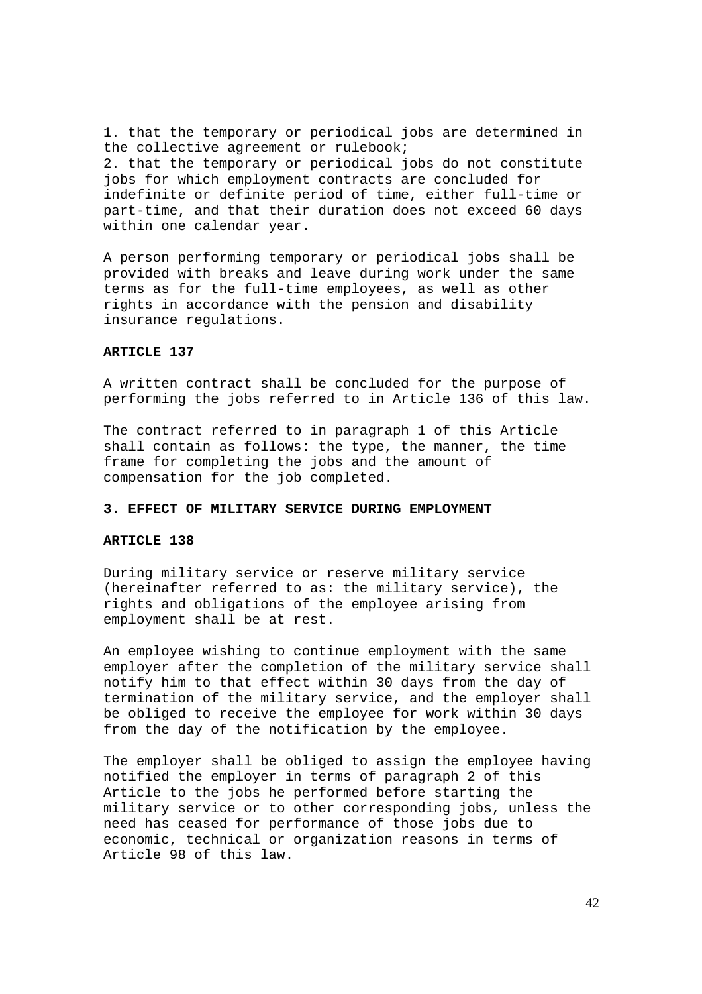1. that the temporary or periodical jobs are determined in the collective agreement or rulebook; 2. that the temporary or periodical jobs do not constitute jobs for which employment contracts are concluded for indefinite or definite period of time, either full-time or part-time, and that their duration does not exceed 60 days within one calendar year.

A person performing temporary or periodical jobs shall be provided with breaks and leave during work under the same terms as for the full-time employees, as well as other rights in accordance with the pension and disability insurance regulations.

### **ARTICLE 137**

A written contract shall be concluded for the purpose of performing the jobs referred to in Article 136 of this law.

The contract referred to in paragraph 1 of this Article shall contain as follows: the type, the manner, the time frame for completing the jobs and the amount of compensation for the job completed.

### **3. EFFECT OF MILITARY SERVICE DURING EMPLOYMENT**

#### **ARTICLE 138**

During military service or reserve military service (hereinafter referred to as: the military service), the rights and obligations of the employee arising from employment shall be at rest.

An employee wishing to continue employment with the same employer after the completion of the military service shall notify him to that effect within 30 days from the day of termination of the military service, and the employer shall be obliged to receive the employee for work within 30 days from the day of the notification by the employee.

The employer shall be obliged to assign the employee having notified the employer in terms of paragraph 2 of this Article to the jobs he performed before starting the military service or to other corresponding jobs, unless the need has ceased for performance of those jobs due to economic, technical or organization reasons in terms of Article 98 of this law.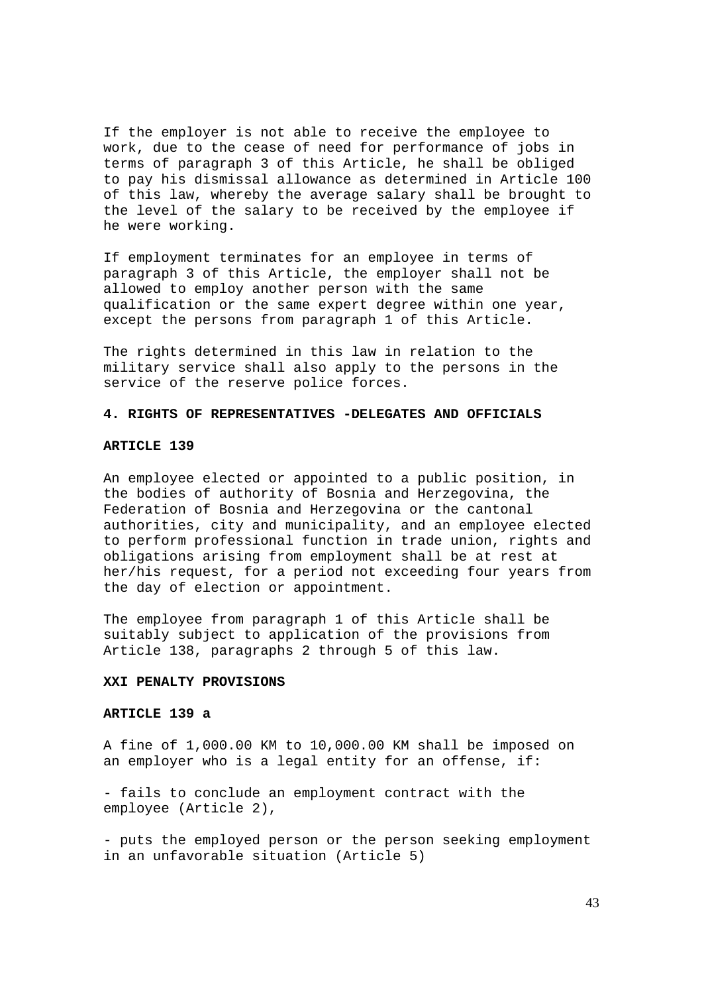If the employer is not able to receive the employee to work, due to the cease of need for performance of jobs in terms of paragraph 3 of this Article, he shall be obliged to pay his dismissal allowance as determined in Article 100 of this law, whereby the average salary shall be brought to the level of the salary to be received by the employee if he were working.

If employment terminates for an employee in terms of paragraph 3 of this Article, the employer shall not be allowed to employ another person with the same qualification or the same expert degree within one year, except the persons from paragraph 1 of this Article.

The rights determined in this law in relation to the military service shall also apply to the persons in the service of the reserve police forces.

### **4. RIGHTS OF REPRESENTATIVES -DELEGATES AND OFFICIALS**

#### **ARTICLE 139**

An employee elected or appointed to a public position, in the bodies of authority of Bosnia and Herzegovina, the Federation of Bosnia and Herzegovina or the cantonal authorities, city and municipality, and an employee elected to perform professional function in trade union, rights and obligations arising from employment shall be at rest at her/his request, for a period not exceeding four years from the day of election or appointment.

The employee from paragraph 1 of this Article shall be suitably subject to application of the provisions from Article 138, paragraphs 2 through 5 of this law.

#### **XXI PENALTY PROVISIONS**

#### **ARTICLE 139 a**

A fine of 1,000.00 KM to 10,000.00 KM shall be imposed on an employer who is a legal entity for an offense, if:

- fails to conclude an employment contract with the employee (Article 2),

- puts the employed person or the person seeking employment in an unfavorable situation (Article 5)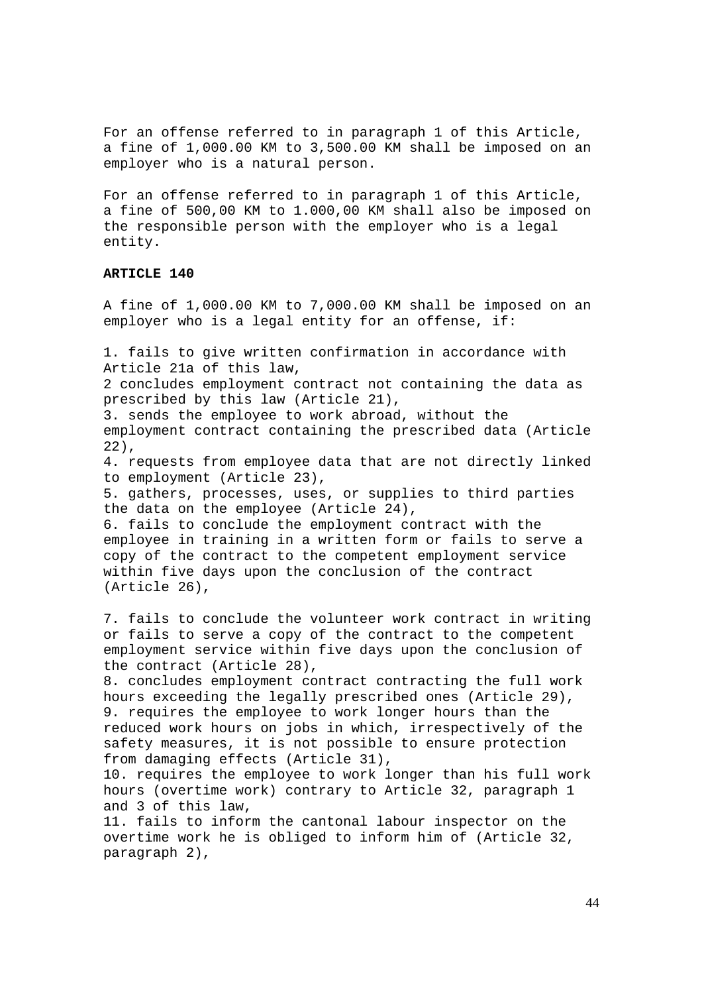For an offense referred to in paragraph 1 of this Article, a fine of 1,000.00 KM to 3,500.00 KM shall be imposed on an employer who is a natural person.

For an offense referred to in paragraph 1 of this Article, a fine of 500,00 KM to 1.000,00 KM shall also be imposed on the responsible person with the employer who is a legal entity.

### **ARTICLE 140**

A fine of 1,000.00 KM to 7,000.00 KM shall be imposed on an employer who is a legal entity for an offense, if:

1. fails to give written confirmation in accordance with Article 21a of this law, 2 concludes employment contract not containing the data as prescribed by this law (Article 21), 3. sends the employee to work abroad, without the employment contract containing the prescribed data (Article 22), 4. requests from employee data that are not directly linked to employment (Article 23),

5. gathers, processes, uses, or supplies to third parties the data on the employee (Article 24),

6. fails to conclude the employment contract with the employee in training in a written form or fails to serve a copy of the contract to the competent employment service within five days upon the conclusion of the contract (Article 26),

7. fails to conclude the volunteer work contract in writing or fails to serve a copy of the contract to the competent employment service within five days upon the conclusion of the contract (Article 28),

8. concludes employment contract contracting the full work hours exceeding the legally prescribed ones (Article 29), 9. requires the employee to work longer hours than the reduced work hours on jobs in which, irrespectively of the safety measures, it is not possible to ensure protection from damaging effects (Article 31),

10. requires the employee to work longer than his full work hours (overtime work) contrary to Article 32, paragraph 1 and 3 of this law,

11. fails to inform the cantonal labour inspector on the overtime work he is obliged to inform him of (Article 32, paragraph 2),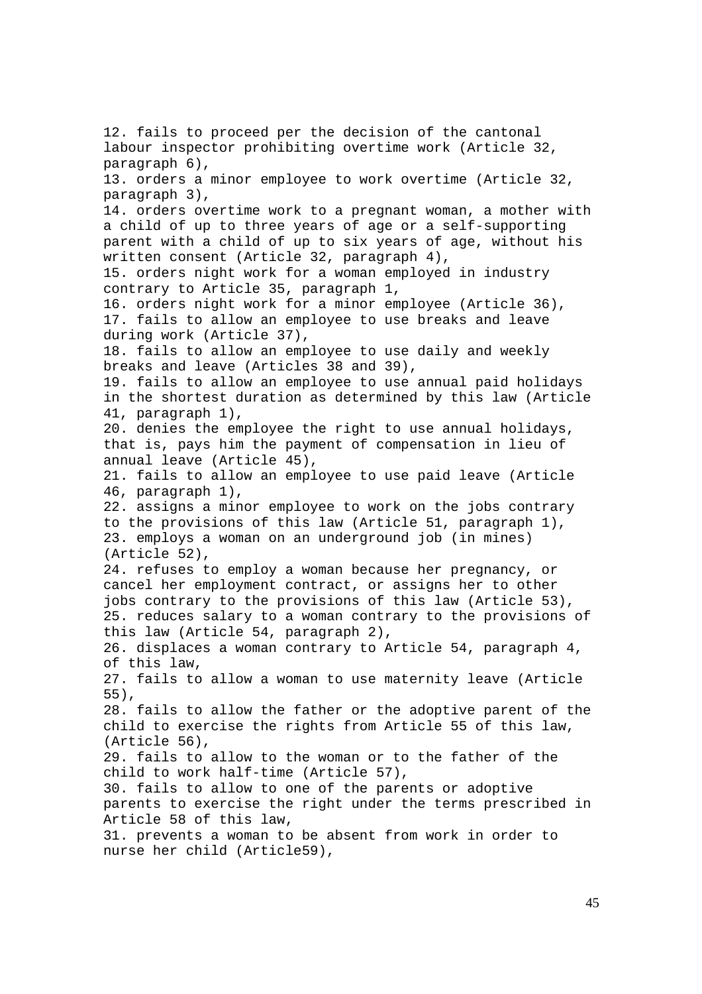12. fails to proceed per the decision of the cantonal labour inspector prohibiting overtime work (Article 32, paragraph 6), 13. orders a minor employee to work overtime (Article 32, paragraph 3), 14. orders overtime work to a pregnant woman, a mother with a child of up to three years of age or a self-supporting parent with a child of up to six years of age, without his written consent (Article 32, paragraph 4), 15. orders night work for a woman employed in industry contrary to Article 35, paragraph 1, 16. orders night work for a minor employee (Article 36), 17. fails to allow an employee to use breaks and leave during work (Article 37), 18. fails to allow an employee to use daily and weekly breaks and leave (Articles 38 and 39), 19. fails to allow an employee to use annual paid holidays in the shortest duration as determined by this law (Article 41, paragraph 1), 20. denies the employee the right to use annual holidays, that is, pays him the payment of compensation in lieu of annual leave (Article 45), 21. fails to allow an employee to use paid leave (Article 46, paragraph 1), 22. assigns a minor employee to work on the jobs contrary to the provisions of this law (Article 51, paragraph 1), 23. employs a woman on an underground job (in mines) (Article 52), 24. refuses to employ a woman because her pregnancy, or cancel her employment contract, or assigns her to other jobs contrary to the provisions of this law (Article 53), 25. reduces salary to a woman contrary to the provisions of this law (Article 54, paragraph 2), 26. displaces a woman contrary to Article 54, paragraph 4, of this law, 27. fails to allow a woman to use maternity leave (Article 55), 28. fails to allow the father or the adoptive parent of the child to exercise the rights from Article 55 of this law, (Article 56), 29. fails to allow to the woman or to the father of the child to work half-time (Article 57), 30. fails to allow to one of the parents or adoptive parents to exercise the right under the terms prescribed in Article 58 of this law, 31. prevents a woman to be absent from work in order to nurse her child (Article59),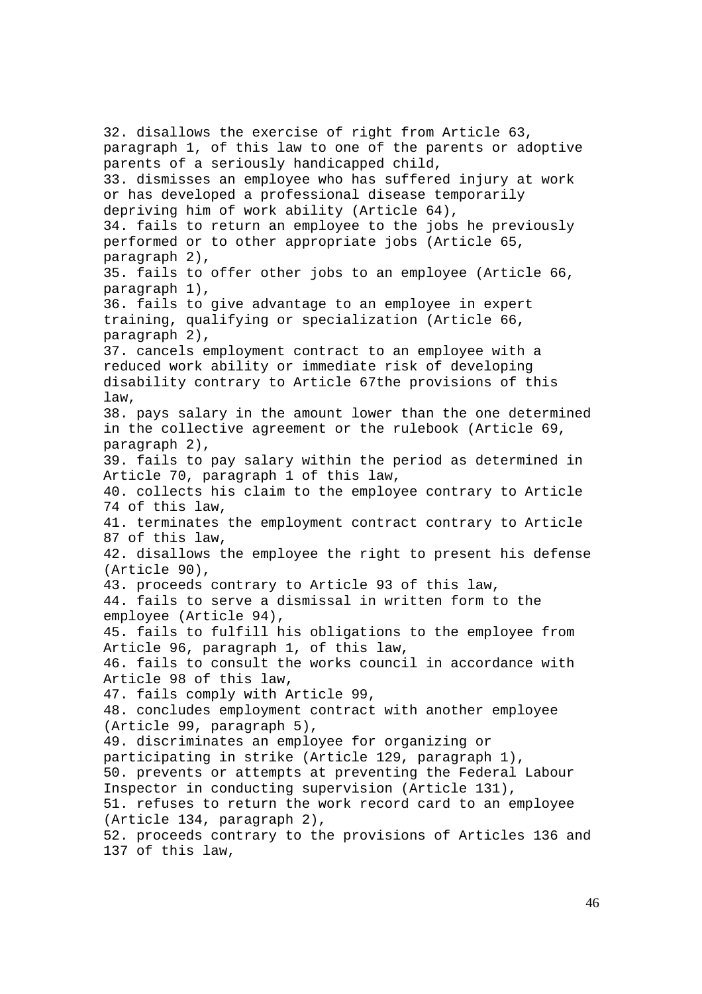32. disallows the exercise of right from Article 63, paragraph 1, of this law to one of the parents or adoptive parents of a seriously handicapped child, 33. dismisses an employee who has suffered injury at work or has developed a professional disease temporarily depriving him of work ability (Article 64), 34. fails to return an employee to the jobs he previously performed or to other appropriate jobs (Article 65, paragraph 2), 35. fails to offer other jobs to an employee (Article 66, paragraph 1), 36. fails to give advantage to an employee in expert training, qualifying or specialization (Article 66, paragraph 2), 37. cancels employment contract to an employee with a reduced work ability or immediate risk of developing disability contrary to Article 67the provisions of this law, 38. pays salary in the amount lower than the one determined in the collective agreement or the rulebook (Article 69, paragraph 2), 39. fails to pay salary within the period as determined in Article 70, paragraph 1 of this law, 40. collects his claim to the employee contrary to Article 74 of this law, 41. terminates the employment contract contrary to Article 87 of this law, 42. disallows the employee the right to present his defense (Article 90), 43. proceeds contrary to Article 93 of this law, 44. fails to serve a dismissal in written form to the employee (Article 94), 45. fails to fulfill his obligations to the employee from Article 96, paragraph 1, of this law, 46. fails to consult the works council in accordance with Article 98 of this law, 47. fails comply with Article 99, 48. concludes employment contract with another employee (Article 99, paragraph 5), 49. discriminates an employee for organizing or participating in strike (Article 129, paragraph 1), 50. prevents or attempts at preventing the Federal Labour Inspector in conducting supervision (Article 131), 51. refuses to return the work record card to an employee (Article 134, paragraph 2), 52. proceeds contrary to the provisions of Articles 136 and 137 of this law,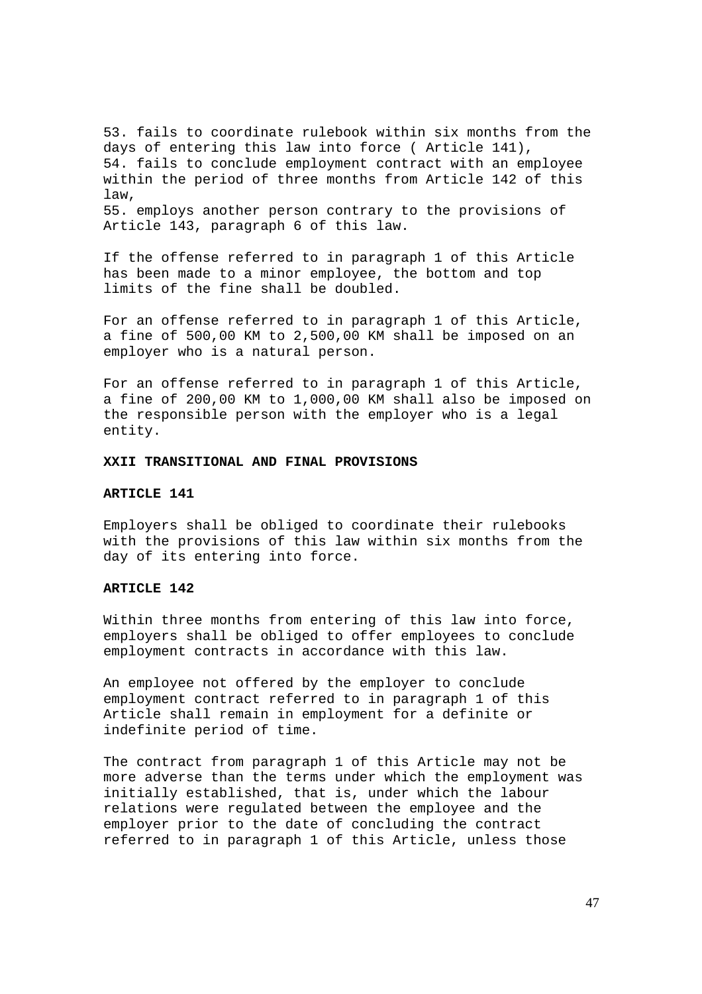53. fails to coordinate rulebook within six months from the days of entering this law into force ( Article 141), 54. fails to conclude employment contract with an employee within the period of three months from Article 142 of this law, 55. employs another person contrary to the provisions of Article 143, paragraph 6 of this law.

If the offense referred to in paragraph 1 of this Article has been made to a minor employee, the bottom and top limits of the fine shall be doubled.

For an offense referred to in paragraph 1 of this Article, a fine of 500,00 KM to 2,500,00 KM shall be imposed on an employer who is a natural person.

For an offense referred to in paragraph 1 of this Article, a fine of 200,00 KM to 1,000,00 KM shall also be imposed on the responsible person with the employer who is a legal entity.

## **XXII TRANSITIONAL AND FINAL PROVISIONS**

### **ARTICLE 141**

Employers shall be obliged to coordinate their rulebooks with the provisions of this law within six months from the day of its entering into force.

## **ARTICLE 142**

Within three months from entering of this law into force, employers shall be obliged to offer employees to conclude employment contracts in accordance with this law.

An employee not offered by the employer to conclude employment contract referred to in paragraph 1 of this Article shall remain in employment for a definite or indefinite period of time.

The contract from paragraph 1 of this Article may not be more adverse than the terms under which the employment was initially established, that is, under which the labour relations were regulated between the employee and the employer prior to the date of concluding the contract referred to in paragraph 1 of this Article, unless those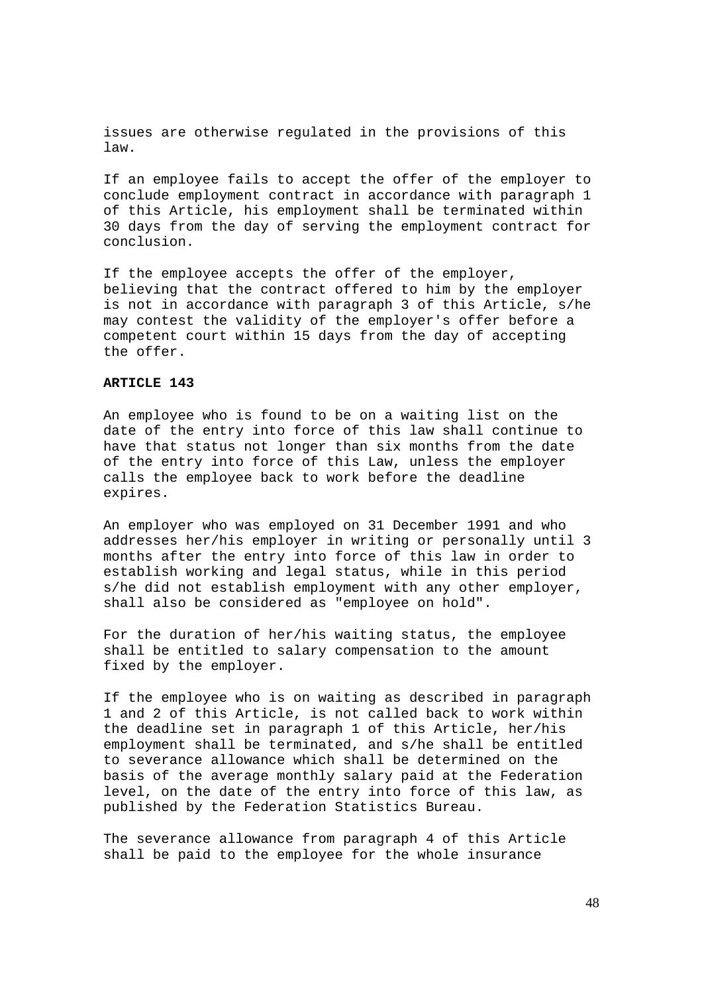issues are otherwise regulated in the provisions of this law.

If an employee fails to accept the offer of the employer to conclude employment contract in accordance with paragraph 1 of this Article, his employment shall be terminated within 30 days from the day of serving the employment contract for conclusion.

If the employee accepts the offer of the employer, believing that the contract offered to him by the employer is not in accordance with paragraph 3 of this Article, s/he may contest the validity of the employer's offer before a competent court within 15 days from the day of accepting the offer.

## **ARTICLE 143**

An employee who is found to be on a waiting list on the date of the entry into force of this law shall continue to have that status not longer than six months from the date of the entry into force of this Law, unless the employer calls the employee back to work before the deadline expires.

An employer who was employed on 31 December 1991 and who addresses her/his employer in writing or personally until 3 months after the entry into force of this law in order to establish working and legal status, while in this period s/he did not establish employment with any other employer, shall also be considered as "employee on hold".

For the duration of her/his waiting status, the employee shall be entitled to salary compensation to the amount fixed by the employer.

If the employee who is on waiting as described in paragraph 1 and 2 of this Article, is not called back to work within the deadline set in paragraph 1 of this Article, her/his employment shall be terminated, and s/he shall be entitled to severance allowance which shall be determined on the basis of the average monthly salary paid at the Federation level, on the date of the entry into force of this law, as published by the Federation Statistics Bureau.

The severance allowance from paragraph 4 of this Article shall be paid to the employee for the whole insurance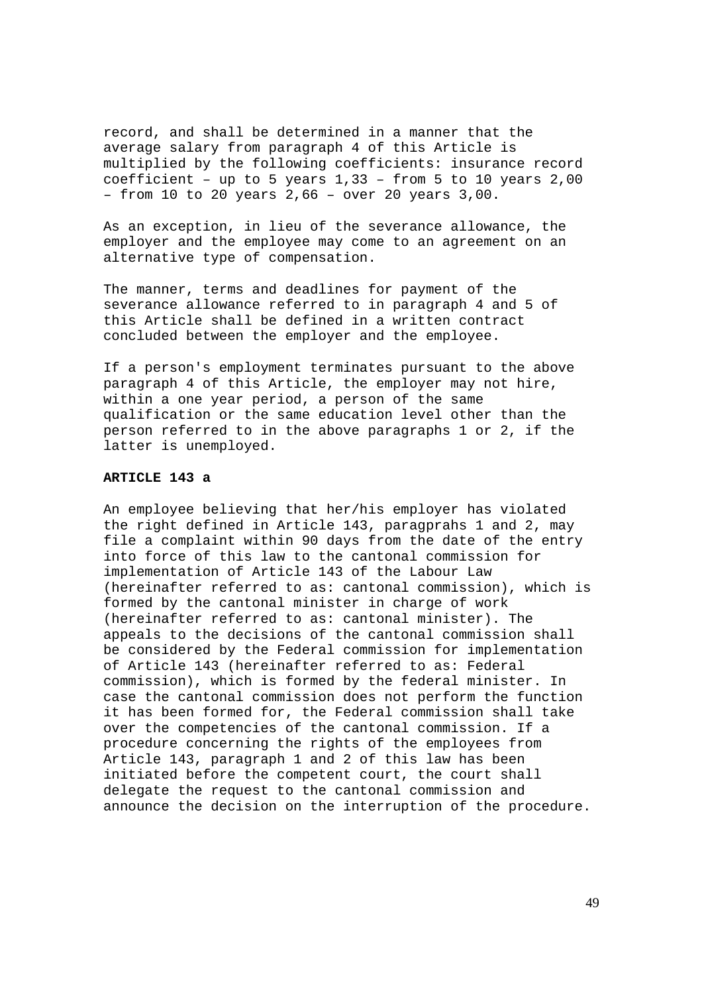record, and shall be determined in a manner that the average salary from paragraph 4 of this Article is multiplied by the following coefficients: insurance record coefficient – up to 5 years 1,33 – from 5 to 10 years 2,00 – from 10 to 20 years 2,66 – over 20 years 3,00.

As an exception, in lieu of the severance allowance, the employer and the employee may come to an agreement on an alternative type of compensation.

The manner, terms and deadlines for payment of the severance allowance referred to in paragraph 4 and 5 of this Article shall be defined in a written contract concluded between the employer and the employee.

If a person's employment terminates pursuant to the above paragraph 4 of this Article, the employer may not hire, within a one year period, a person of the same qualification or the same education level other than the person referred to in the above paragraphs 1 or 2, if the latter is unemployed.

### **ARTICLE 143 a**

An employee believing that her/his employer has violated the right defined in Article 143, paragprahs 1 and 2, may file a complaint within 90 days from the date of the entry into force of this law to the cantonal commission for implementation of Article 143 of the Labour Law (hereinafter referred to as: cantonal commission), which is formed by the cantonal minister in charge of work (hereinafter referred to as: cantonal minister). The appeals to the decisions of the cantonal commission shall be considered by the Federal commission for implementation of Article 143 (hereinafter referred to as: Federal commission), which is formed by the federal minister. In case the cantonal commission does not perform the function it has been formed for, the Federal commission shall take over the competencies of the cantonal commission. If a procedure concerning the rights of the employees from Article 143, paragraph 1 and 2 of this law has been initiated before the competent court, the court shall delegate the request to the cantonal commission and announce the decision on the interruption of the procedure.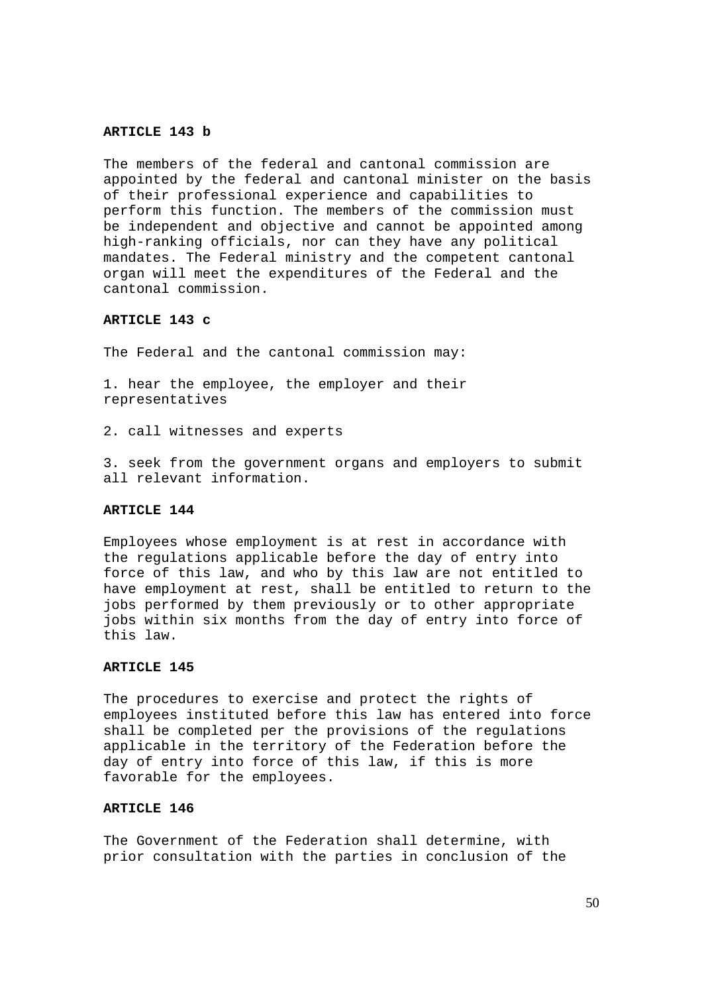#### **ARTICLE 143 b**

The members of the federal and cantonal commission are appointed by the federal and cantonal minister on the basis of their professional experience and capabilities to perform this function. The members of the commission must be independent and objective and cannot be appointed among high-ranking officials, nor can they have any political mandates. The Federal ministry and the competent cantonal organ will meet the expenditures of the Federal and the cantonal commission.

### **ARTICLE 143 c**

The Federal and the cantonal commission may:

1. hear the employee, the employer and their representatives

2. call witnesses and experts

3. seek from the government organs and employers to submit all relevant information.

#### **ARTICLE 144**

Employees whose employment is at rest in accordance with the regulations applicable before the day of entry into force of this law, and who by this law are not entitled to have employment at rest, shall be entitled to return to the jobs performed by them previously or to other appropriate jobs within six months from the day of entry into force of this law.

## **ARTICLE 145**

The procedures to exercise and protect the rights of employees instituted before this law has entered into force shall be completed per the provisions of the regulations applicable in the territory of the Federation before the day of entry into force of this law, if this is more favorable for the employees.

## **ARTICLE 146**

The Government of the Federation shall determine, with prior consultation with the parties in conclusion of the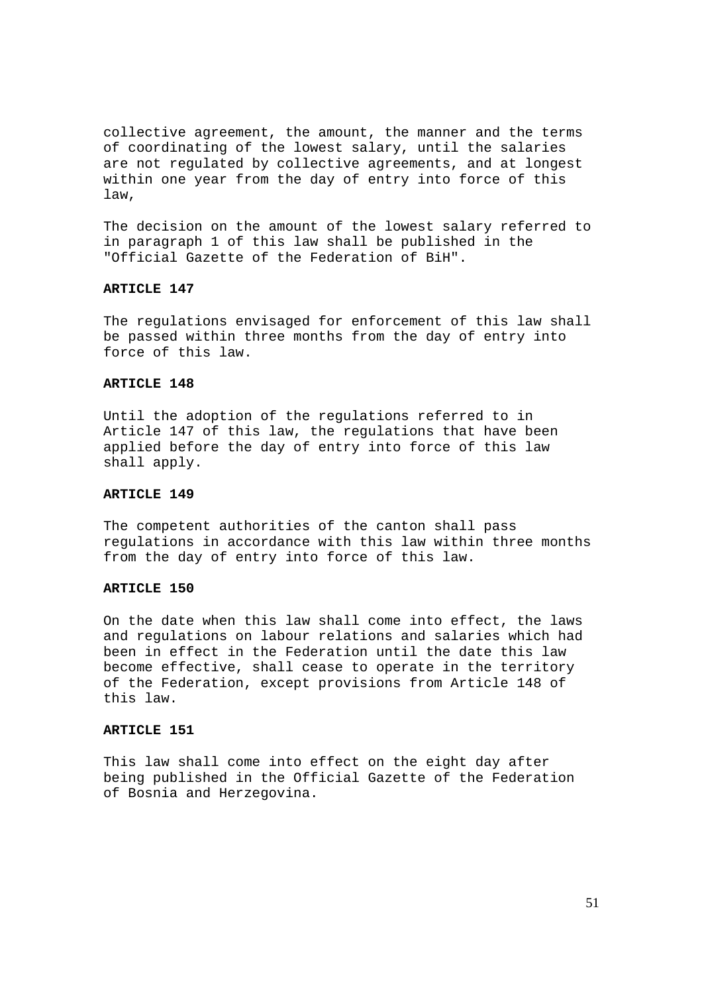collective agreement, the amount, the manner and the terms of coordinating of the lowest salary, until the salaries are not regulated by collective agreements, and at longest within one year from the day of entry into force of this law,

The decision on the amount of the lowest salary referred to in paragraph 1 of this law shall be published in the "Official Gazette of the Federation of BiH".

### **ARTICLE 147**

The regulations envisaged for enforcement of this law shall be passed within three months from the day of entry into force of this law.

#### **ARTICLE 148**

Until the adoption of the regulations referred to in Article 147 of this law, the regulations that have been applied before the day of entry into force of this law shall apply.

### **ARTICLE 149**

The competent authorities of the canton shall pass regulations in accordance with this law within three months from the day of entry into force of this law.

### **ARTICLE 150**

On the date when this law shall come into effect, the laws and regulations on labour relations and salaries which had been in effect in the Federation until the date this law become effective, shall cease to operate in the territory of the Federation, except provisions from Article 148 of this law.

## **ARTICLE 151**

This law shall come into effect on the eight day after being published in the Official Gazette of the Federation of Bosnia and Herzegovina.